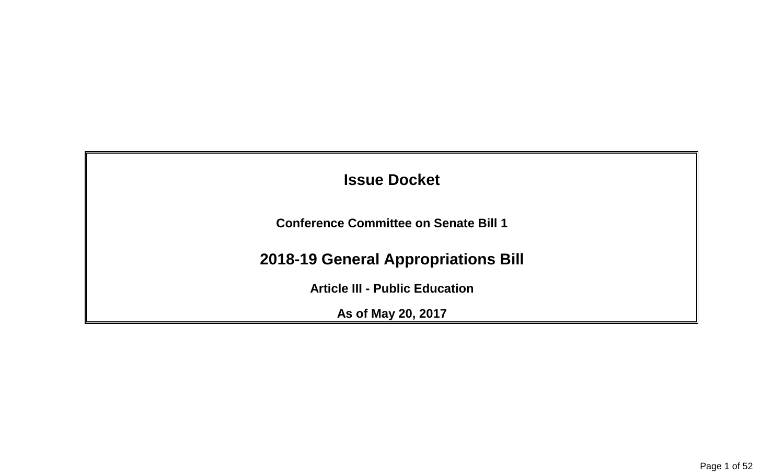| <b>Issue Docket</b>                          |  |
|----------------------------------------------|--|
| <b>Conference Committee on Senate Bill 1</b> |  |
| <b>2018-19 General Appropriations Bill</b>   |  |
| <b>Article III - Public Education</b>        |  |
| As of May 20, 2017                           |  |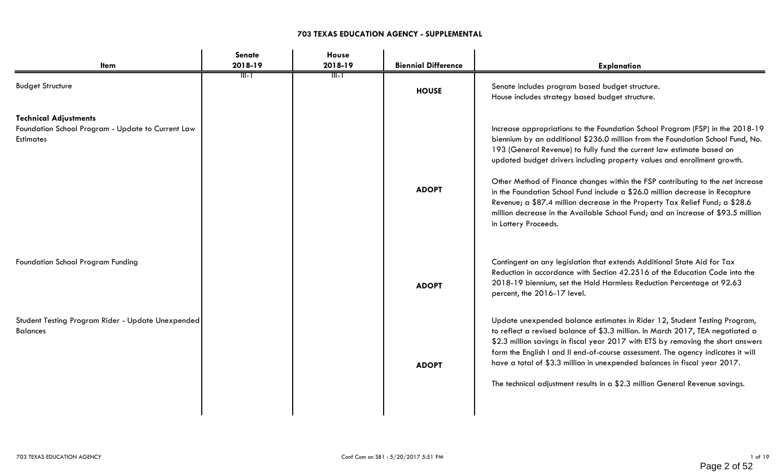### **703 TEXAS EDUCATION AGENCY - SUPPLEMENTAL**

| <b>Senate</b>                                     | <b>House</b> |                            |                                                                                                                                                                                                                                                                                                                                                                                                                                                                                                                                                                                                                                                                                    |
|---------------------------------------------------|--------------|----------------------------|------------------------------------------------------------------------------------------------------------------------------------------------------------------------------------------------------------------------------------------------------------------------------------------------------------------------------------------------------------------------------------------------------------------------------------------------------------------------------------------------------------------------------------------------------------------------------------------------------------------------------------------------------------------------------------|
| 2018-19                                           | 2018-19      | <b>Biennial Difference</b> | <b>Explanation</b>                                                                                                                                                                                                                                                                                                                                                                                                                                                                                                                                                                                                                                                                 |
| ॥। ।                                              | TIT-T        | <b>HOUSE</b>               | Senate includes program based budget structure.<br>House includes strategy based budget structure.                                                                                                                                                                                                                                                                                                                                                                                                                                                                                                                                                                                 |
|                                                   |              | <b>ADOPT</b>               | Increase appropriations to the Foundation School Program (FSP) in the 2018-19<br>biennium by an additional \$236.0 million from the Foundation School Fund, No.<br>193 (General Revenue) to fully fund the current law estimate based on<br>updated budget drivers including property values and enrollment growth.<br>Other Method of Finance changes within the FSP contributing to the net increase<br>in the Foundation School Fund include a \$26.0 million decrease in Recapture<br>Revenue; a \$87.4 million decrease in the Property Tax Relief Fund; a \$28.6<br>million decrease in the Available School Fund; and an increase of \$93.5 million<br>in Lottery Proceeds. |
|                                                   |              | <b>ADOPT</b>               | Contingent on any legislation that extends Additional State Aid for Tax<br>Reduction in accordance with Section 42.2516 of the Education Code into the<br>2018-19 biennium, set the Hold Harmless Reduction Percentage at 92.63<br>percent, the 2016-17 level.                                                                                                                                                                                                                                                                                                                                                                                                                     |
|                                                   |              | <b>ADOPT</b>               | Update unexpended balance estimates in Rider 12, Student Testing Program,<br>to reflect a revised balance of \$3.3 million. In March 2017, TEA negotiated a<br>\$2.3 million savings in fiscal year 2017 with ETS by removing the short answers<br>form the English I and II end-of-course assessment. The agency indicates it will<br>have a total of \$3.3 million in unexpended balances in fiscal year 2017.<br>The technical adjustment results in a \$2.3 million General Revenue savings.                                                                                                                                                                                   |
| Student Testing Program Rider - Update Unexpended |              |                            |                                                                                                                                                                                                                                                                                                                                                                                                                                                                                                                                                                                                                                                                                    |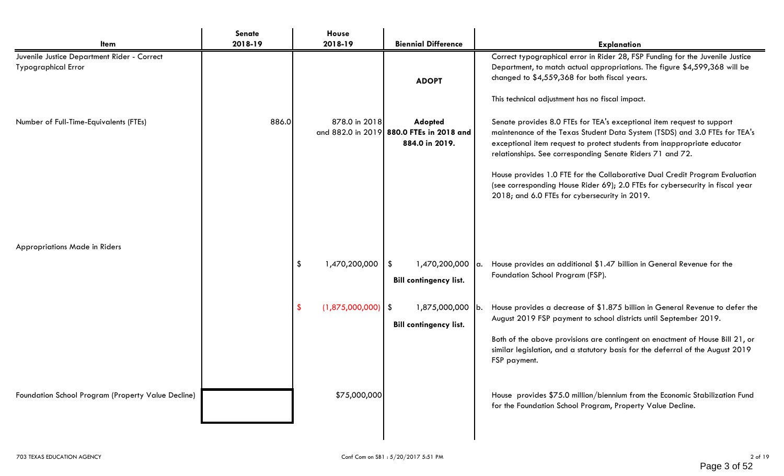| <b>Item</b>                                                               | Senate<br>2018-19 | House<br>2018-19                                                  | <b>Biennial Difference</b>                                                                                                                                                                   | <b>Explanation</b>                                                                                                                                                                                                                                                                                                                                                                                                                                                                                                                                                                                                                                                                                                                                                                                                                                                                                                                                                   |
|---------------------------------------------------------------------------|-------------------|-------------------------------------------------------------------|----------------------------------------------------------------------------------------------------------------------------------------------------------------------------------------------|----------------------------------------------------------------------------------------------------------------------------------------------------------------------------------------------------------------------------------------------------------------------------------------------------------------------------------------------------------------------------------------------------------------------------------------------------------------------------------------------------------------------------------------------------------------------------------------------------------------------------------------------------------------------------------------------------------------------------------------------------------------------------------------------------------------------------------------------------------------------------------------------------------------------------------------------------------------------|
| Juvenile Justice Department Rider - Correct<br><b>Typographical Error</b> |                   |                                                                   | <b>ADOPT</b>                                                                                                                                                                                 | Correct typographical error in Rider 28, FSP Funding for the Juvenile Justice<br>Department, to match actual appropriations. The figure \$4,599,368 will be<br>changed to \$4,559,368 for both fiscal years.<br>This technical adjustment has no fiscal impact.                                                                                                                                                                                                                                                                                                                                                                                                                                                                                                                                                                                                                                                                                                      |
| Number of Full-Time-Equivalents (FTEs)<br>Appropriations Made in Riders   | 886.0             | 878.0 in 2018<br>1,470,200,000<br>\$<br>$(1,875,000,000)$ \$<br>S | <b>Adopted</b><br>and 882.0 in 2019 880.0 FTEs in 2018 and<br>884.0 in 2019.<br>\$<br>1,470,200,000 a.<br><b>Bill contingency list.</b><br>1,875,000,000 b.<br><b>Bill contingency list.</b> | Senate provides 8.0 FTEs for TEA's exceptional item request to support<br>maintenance of the Texas Student Data System (TSDS) and 3.0 FTEs for TEA's<br>exceptional item request to protect students from inappropriate educator<br>relationships. See corresponding Senate Riders 71 and 72.<br>House provides 1.0 FTE for the Collaborative Dual Credit Program Evaluation<br>(see corresponding House Rider 69); 2.0 FTEs for cybersecurity in fiscal year<br>2018; and 6.0 FTEs for cybersecurity in 2019.<br>House provides an additional \$1.47 billion in General Revenue for the<br>Foundation School Program (FSP).<br>House provides a decrease of \$1.875 billion in General Revenue to defer the<br>August 2019 FSP payment to school districts until September 2019.<br>Both of the above provisions are contingent on enactment of House Bill 21, or<br>similar legislation, and a statutory basis for the deferral of the August 2019<br>FSP payment. |
| Foundation School Program (Property Value Decline)                        |                   | \$75,000,000                                                      |                                                                                                                                                                                              | House provides \$75.0 million/biennium from the Economic Stabilization Fund<br>for the Foundation School Program, Property Value Decline.                                                                                                                                                                                                                                                                                                                                                                                                                                                                                                                                                                                                                                                                                                                                                                                                                            |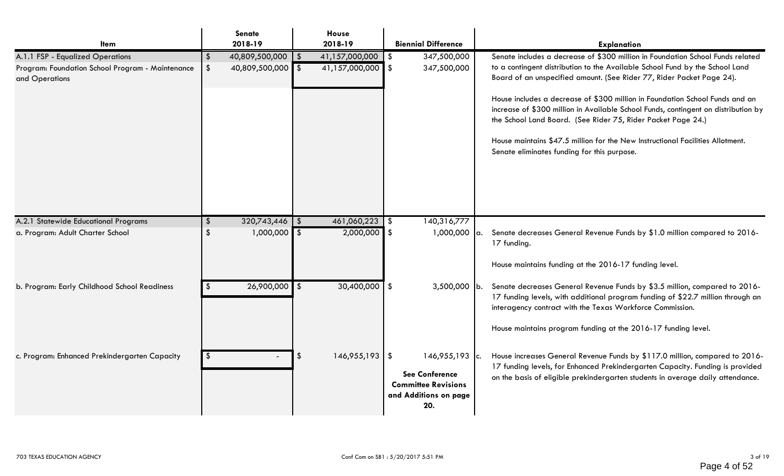| Item                                                               | Senate<br>2018-19       |               | House<br>2018-19    |          | <b>Biennial Difference</b>                                                                       | <b>Explanation</b>                                                                                                                                                                                                                             |
|--------------------------------------------------------------------|-------------------------|---------------|---------------------|----------|--------------------------------------------------------------------------------------------------|------------------------------------------------------------------------------------------------------------------------------------------------------------------------------------------------------------------------------------------------|
| A.1.1 FSP - Equalized Operations                                   | \$<br>40,809,500,000    | $\frac{1}{3}$ | 41,157,000,000   \$ |          | 347,500,000                                                                                      | Senate includes a decrease of \$300 million in Foundation School Funds related                                                                                                                                                                 |
| Program: Foundation School Program - Maintenance<br>and Operations | \$<br>40,809,500,000 \$ |               | 41,157,000,000 \$   |          | 347,500,000                                                                                      | to a contingent distribution to the Available School Fund by the School Land<br>Board of an unspecified amount. (See Rider 77, Rider Packet Page 24).                                                                                          |
|                                                                    |                         |               |                     |          |                                                                                                  | House includes a decrease of \$300 million in Foundation School Funds and an<br>increase of \$300 million in Available School Funds, contingent on distribution by<br>the School Land Board. (See Rider 75, Rider Packet Page 24.)             |
|                                                                    |                         |               |                     |          |                                                                                                  | House maintains \$47.5 million for the New Instructional Facilities Allotment.<br>Senate eliminates funding for this purpose.                                                                                                                  |
|                                                                    |                         |               |                     |          |                                                                                                  |                                                                                                                                                                                                                                                |
| A.2.1 Statewide Educational Programs                               | $320,743,446$ \ \\$     |               | $461,060,223$ \$    |          | 140,316,777                                                                                      |                                                                                                                                                                                                                                                |
| a. Program: Adult Charter School                                   | \$<br>$1,000,000$ \$    |               | $2,000,000$ \$      |          | $1,000,000$ a.                                                                                   | Senate decreases General Revenue Funds by \$1.0 million compared to 2016-<br>17 funding.                                                                                                                                                       |
|                                                                    |                         |               |                     |          |                                                                                                  | House maintains funding at the 2016-17 funding level.                                                                                                                                                                                          |
| b. Program: Early Childhood School Readiness                       | $26,900,000$ \$         |               | 30,400,000          | <b>S</b> | $3,500,000$ b.                                                                                   | Senate decreases General Revenue Funds by \$3.5 million, compared to 2016-<br>17 funding levels, with additional program funding of \$22.7 million through an<br>interagency contract with the Texas Workforce Commission.                     |
|                                                                    |                         |               |                     |          |                                                                                                  | House maintains program funding at the 2016-17 funding level.                                                                                                                                                                                  |
| c. Program: Enhanced Prekindergarten Capacity                      | \$                      | $\sqrt[6]{2}$ | $146,955,193$ \$    |          | $146,955,193$ c.<br><b>See Conference</b><br><b>Committee Revisions</b><br>and Additions on page | House increases General Revenue Funds by \$117.0 million, compared to 2016-<br>17 funding levels, for Enhanced Prekindergarten Capacity. Funding is provided<br>on the basis of eligible prekindergarten students in average daily attendance. |
|                                                                    |                         |               |                     |          | 20.                                                                                              |                                                                                                                                                                                                                                                |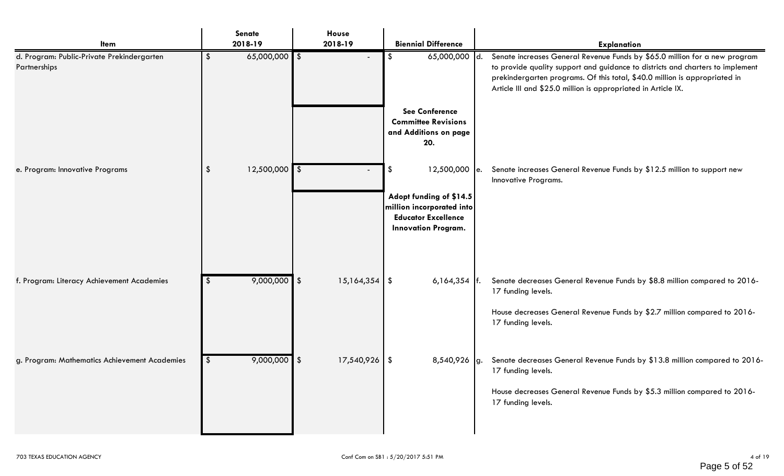| Item                                                       | Senate<br>2018-19                | House<br>2018-19 | <b>Biennial Difference</b>                                                                                       | <b>Explanation</b>                                                                                                                                                                                                                                                                                          |
|------------------------------------------------------------|----------------------------------|------------------|------------------------------------------------------------------------------------------------------------------|-------------------------------------------------------------------------------------------------------------------------------------------------------------------------------------------------------------------------------------------------------------------------------------------------------------|
| d. Program: Public-Private Prekindergarten<br>Partnerships | $65,000,000$ \$<br>\$            | $\blacksquare$   | 65,000,000 d.<br>\$                                                                                              | Senate increases General Revenue Funds by \$65.0 million for a new program<br>to provide quality support and guidance to districts and charters to implement<br>prekindergarten programs. Of this total, \$40.0 million is appropriated in<br>Article III and \$25.0 million is appropriated in Article IX. |
|                                                            |                                  |                  | <b>See Conference</b><br><b>Committee Revisions</b><br>and Additions on page<br>20.                              |                                                                                                                                                                                                                                                                                                             |
| e. Program: Innovative Programs                            | $12,500,000$ \$<br>$\sqrt[6]{2}$ |                  | \$<br>$12,500,000$ e.                                                                                            | Senate increases General Revenue Funds by \$12.5 million to support new<br>Innovative Programs.                                                                                                                                                                                                             |
|                                                            |                                  |                  | Adopt funding of \$14.5<br>million incorporated into<br><b>Educator Excellence</b><br><b>Innovation Program.</b> |                                                                                                                                                                                                                                                                                                             |
| f. Program: Literacy Achievement Academies                 | $9,000,000$ \$<br>S.             | $15,164,354$ \\$ | $6,164,354$  f.                                                                                                  | Senate decreases General Revenue Funds by \$8.8 million compared to 2016-<br>17 funding levels.                                                                                                                                                                                                             |
|                                                            |                                  |                  |                                                                                                                  | House decreases General Revenue Funds by \$2.7 million compared to 2016-<br>17 funding levels.                                                                                                                                                                                                              |
| g. Program: Mathematics Achievement Academies              | $9,000,000$ \$<br>$\sqrt{2}$     | $17,540,926$ \$  | 8,540,926 g.                                                                                                     | Senate decreases General Revenue Funds by \$13.8 million compared to 2016-<br>17 funding levels.                                                                                                                                                                                                            |
|                                                            |                                  |                  |                                                                                                                  | House decreases General Revenue Funds by \$5.3 million compared to 2016-<br>17 funding levels.                                                                                                                                                                                                              |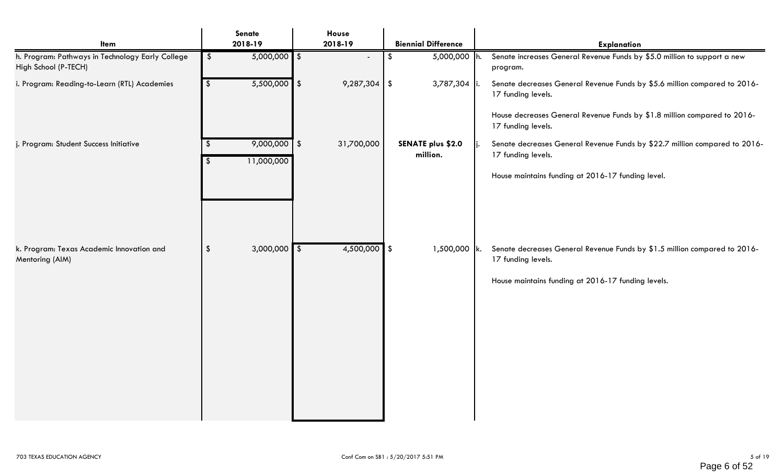| <b>Item</b>                                                              | Senate<br>2018-19                         | House<br>2018-19 | <b>Biennial Difference</b>           | <b>Explanation</b>                                                                                      |
|--------------------------------------------------------------------------|-------------------------------------------|------------------|--------------------------------------|---------------------------------------------------------------------------------------------------------|
| h. Program: Pathways in Technology Early College<br>High School (P-TECH) | $5,000,000$ \$<br>$\sqrt[6]{\frac{1}{2}}$ | $\blacksquare$   | 5,000,000 h.<br>\$                   | Senate increases General Revenue Funds by \$5.0 million to support a new<br>program.                    |
| i. Program: Reading-to-Learn (RTL) Academies                             | $5,500,000$ \$<br>$\frac{1}{2}$           | $9,287,304$ \$   | 3,787,304   i.                       | Senate decreases General Revenue Funds by \$5.6 million compared to 2016-<br>17 funding levels.         |
|                                                                          |                                           |                  |                                      | House decreases General Revenue Funds by \$1.8 million compared to 2016-<br>17 funding levels.          |
| j. Program: Student Success Initiative                                   | $9,000,000$ \$<br>-S<br>11,000,000        | 31,700,000       | <b>SENATE plus \$2.0</b><br>million. | Senate decreases General Revenue Funds by \$22.7 million compared to 2016-<br>Ii.<br>17 funding levels. |
|                                                                          |                                           |                  |                                      | House maintains funding at 2016-17 funding level.                                                       |
|                                                                          |                                           |                  |                                      |                                                                                                         |
| k. Program: Texas Academic Innovation and<br>Mentoring (AIM)             | $3,000,000$ \$<br>$\sqrt[6]{\frac{1}{2}}$ | $4,500,000$ \$   | $1,500,000$ k.                       | Senate decreases General Revenue Funds by \$1.5 million compared to 2016-<br>17 funding levels.         |
|                                                                          |                                           |                  |                                      | House maintains funding at 2016-17 funding levels.                                                      |
|                                                                          |                                           |                  |                                      |                                                                                                         |
|                                                                          |                                           |                  |                                      |                                                                                                         |
|                                                                          |                                           |                  |                                      |                                                                                                         |
|                                                                          |                                           |                  |                                      |                                                                                                         |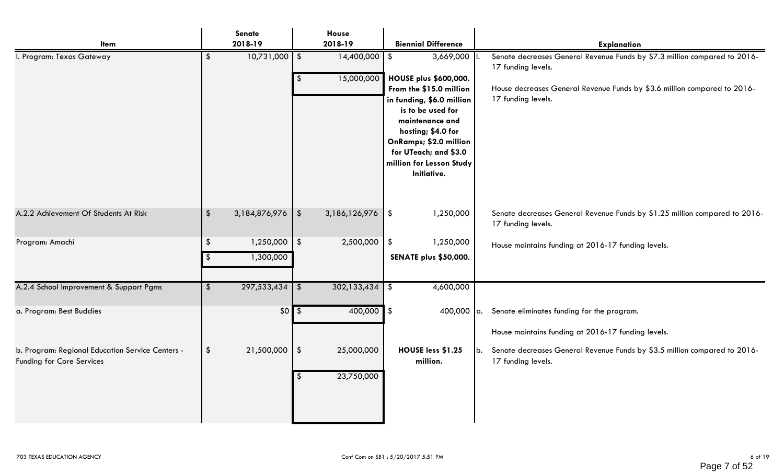| <b>Item</b>                                                                   |               | Senate<br>2018-19           |               | House<br>2018-19         |               | <b>Biennial Difference</b>                                                                                                                                                                                                                       |        | <b>Explanation</b>                                                                               |
|-------------------------------------------------------------------------------|---------------|-----------------------------|---------------|--------------------------|---------------|--------------------------------------------------------------------------------------------------------------------------------------------------------------------------------------------------------------------------------------------------|--------|--------------------------------------------------------------------------------------------------|
| I. Program: Texas Gateway                                                     | \$            | $10,731,000$ \$             |               | $14,400,000$ \$          |               | 3,669,000                                                                                                                                                                                                                                        |        | Senate decreases General Revenue Funds by \$7.3 million compared to 2016-<br>17 funding levels.  |
|                                                                               |               |                             | $\frac{1}{2}$ | 15,000,000               |               | <b>HOUSE plus \$600,000.</b><br>From the \$15.0 million<br>in funding, \$6.0 million<br>is to be used for<br>maintenance and<br>hosting; \$4.0 for<br>OnRamps; \$2.0 million<br>for UTeach; and \$3.0<br>million for Lesson Study<br>Initiative. |        | House decreases General Revenue Funds by \$3.6 million compared to 2016-<br>17 funding levels.   |
| A.2.2 Achievement Of Students At Risk                                         | $\frac{1}{2}$ | $3,184,876,976$ \ \ \$      |               | 3,186,126,976            | \$            | 1,250,000                                                                                                                                                                                                                                        |        | Senate decreases General Revenue Funds by \$1.25 million compared to 2016-<br>17 funding levels. |
| Program: Amachi                                                               | $\frac{1}{2}$ | $1,250,000$ \$<br>1,300,000 |               | 2,500,000                | \$            | 1,250,000<br><b>SENATE plus \$50,000.</b>                                                                                                                                                                                                        |        | House maintains funding at 2016-17 funding levels.                                               |
| A.2.4 School Improvement & Support Pgms                                       | $\frac{2}{3}$ | $297,533,434$ \$            |               | 302,133,434              | $\sqrt[6]{2}$ | 4,600,000                                                                                                                                                                                                                                        |        |                                                                                                  |
| a. Program: Best Buddies                                                      |               | $$0 \overline{\$}$          |               | $400,000$ \$             |               | 400,000 $ a.$                                                                                                                                                                                                                                    |        | Senate eliminates funding for the program.<br>House maintains funding at 2016-17 funding levels. |
| b. Program: Regional Education Service Centers -<br>Funding for Core Services | $\frac{2}{3}$ | $21,500,000$   \$           | $\sqrt[6]{2}$ | 25,000,000<br>23,750,000 |               | HOUSE less \$1.25<br>million.                                                                                                                                                                                                                    | $ b$ . | Senate decreases General Revenue Funds by \$3.5 million compared to 2016-<br>17 funding levels.  |
|                                                                               |               |                             |               |                          |               |                                                                                                                                                                                                                                                  |        |                                                                                                  |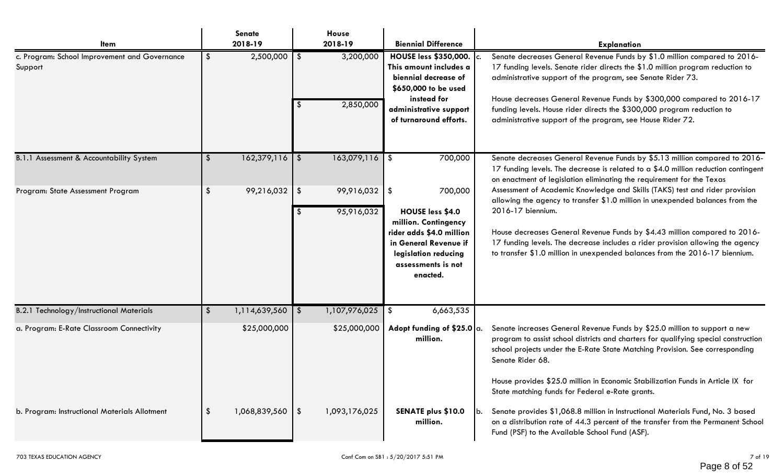| <b>Item</b>                                              |               | <b>Senate</b><br>2018-19 |      | House<br>2018-19         | <b>Biennial Difference</b>                                                                                                                                                | <b>Explanation</b>                                                                                                                                                                                                                                                                                                                                                                                                                           |
|----------------------------------------------------------|---------------|--------------------------|------|--------------------------|---------------------------------------------------------------------------------------------------------------------------------------------------------------------------|----------------------------------------------------------------------------------------------------------------------------------------------------------------------------------------------------------------------------------------------------------------------------------------------------------------------------------------------------------------------------------------------------------------------------------------------|
| c. Program: School Improvement and Governance<br>Support | \$            | 2,500,000                | - \$ | 3,200,000<br>2,850,000   | <b>HOUSE less \$350,000.</b><br>This amount includes a<br>biennial decrease of<br>\$650,000 to be used<br>instead for<br>administrative support<br>of turnaround efforts. | Senate decreases General Revenue Funds by \$1.0 million compared to 2016-<br>17 funding levels. Senate rider directs the \$1.0 million program reduction to<br>administrative support of the program, see Senate Rider 73.<br>House decreases General Revenue Funds by \$300,000 compared to 2016-17<br>funding levels. House rider directs the \$300,000 program reduction to<br>administrative support of the program, see House Rider 72. |
| B.1.1 Assessment & Accountability System                 | $\frac{1}{2}$ | $162,379,116$ \$         |      | $163,079,116$ \$         | 700,000                                                                                                                                                                   | Senate decreases General Revenue Funds by \$5.13 million compared to 2016-<br>17 funding levels. The decrease is related to a \$4.0 million reduction contingent<br>on enactment of legislation eliminating the requirement for the Texas                                                                                                                                                                                                    |
| Program: State Assessment Program                        | \$            | $99,216,032$   \$        |      | 99,916,032<br>95,916,032 | -\$<br>700,000<br>HOUSE less \$4.0<br>million. Contingency<br>rider adds \$4.0 million<br>in General Revenue if<br>legislation reducing<br>assessments is not<br>enacted. | Assessment of Academic Knowledge and Skills (TAKS) test and rider provision<br>allowing the agency to transfer \$1.0 million in unexpended balances from the<br>2016-17 biennium.<br>House decreases General Revenue Funds by \$4.43 million compared to 2016-<br>17 funding levels. The decrease includes a rider provision allowing the agency<br>to transfer \$1.0 million in unexpended balances from the 2016-17 biennium.              |
| B.2.1 Technology/Instructional Materials                 | \$            | 1,114,639,560            |      | 1,107,976,025            | 6,663,535<br>\$                                                                                                                                                           |                                                                                                                                                                                                                                                                                                                                                                                                                                              |
| a. Program: E-Rate Classroom Connectivity                |               | \$25,000,000             |      | \$25,000,000             | Adopt funding of \$25.0 $\alpha$ .<br>million.                                                                                                                            | Senate increases General Revenue Funds by \$25.0 million to support a new<br>program to assist school districts and charters for qualifying special construction<br>school projects under the E-Rate State Matching Provision. See corresponding<br>Senate Rider 68.<br>House provides \$25.0 million in Economic Stabilization Funds in Article IX for<br>State matching funds for Federal e-Rate grants.                                   |
| b. Program: Instructional Materials Allotment            | \$            | 1,068,839,560            | l Si | 1,093,176,025            | <b>SENATE plus \$10.0</b><br>million.                                                                                                                                     | Senate provides \$1,068.8 million in Instructional Materials Fund, No. 3 based<br>on a distribution rate of 44.3 percent of the transfer from the Permanent School<br>Fund (PSF) to the Available School Fund (ASF).                                                                                                                                                                                                                         |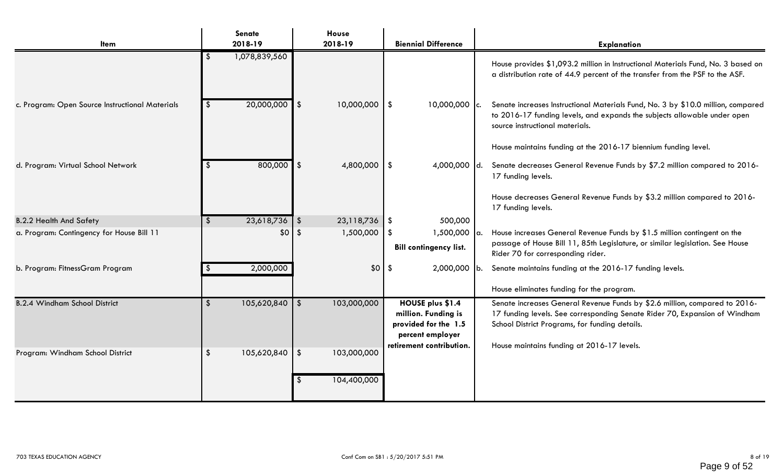|                                                 | Senate                                        | House             |                                                                                                                 |                                                                                                                                                                                                                                                          |
|-------------------------------------------------|-----------------------------------------------|-------------------|-----------------------------------------------------------------------------------------------------------------|----------------------------------------------------------------------------------------------------------------------------------------------------------------------------------------------------------------------------------------------------------|
| Item                                            | 2018-19                                       | 2018-19           | <b>Biennial Difference</b>                                                                                      | <b>Explanation</b>                                                                                                                                                                                                                                       |
|                                                 | 1,078,839,560<br>\$                           |                   |                                                                                                                 | House provides \$1,093.2 million in Instructional Materials Fund, No. 3 based on<br>a distribution rate of 44.9 percent of the transfer from the PSF to the ASF.                                                                                         |
| c. Program: Open Source Instructional Materials | $20,000,000$ \$                               | 10,000,000        | $\vert$ \$<br>$10,000,000$ c.                                                                                   | Senate increases Instructional Materials Fund, No. 3 by \$10.0 million, compared<br>to 2016-17 funding levels, and expands the subjects allowable under open<br>source instructional materials.                                                          |
|                                                 |                                               |                   |                                                                                                                 | House maintains funding at the 2016-17 biennium funding level.                                                                                                                                                                                           |
| d. Program: Virtual School Network              | $800,000$ \$<br><u>я</u>                      | 4,800,000         | $\sqrt[6]{3}$<br>4,000,000 d.                                                                                   | Senate decreases General Revenue Funds by \$7.2 million compared to 2016-<br>17 funding levels.                                                                                                                                                          |
|                                                 |                                               |                   |                                                                                                                 | House decreases General Revenue Funds by \$3.2 million compared to 2016-<br>17 funding levels.                                                                                                                                                           |
| <b>B.2.2 Health And Safety</b>                  | $23,618,736$ \$<br>$\sqrt[6]{3}$              | 23,118,736        | 500,000<br>1\$                                                                                                  |                                                                                                                                                                                                                                                          |
| a. Program: Contingency for House Bill 11       | $$0$ \ \$                                     | 1,500,000         | $1,500,000$ a.<br>-\$                                                                                           | House increases General Revenue Funds by \$1.5 million contingent on the                                                                                                                                                                                 |
|                                                 |                                               |                   | <b>Bill contingency list.</b>                                                                                   | passage of House Bill 11, 85th Legislature, or similar legislation. See House<br>Rider 70 for corresponding rider.                                                                                                                                       |
| b. Program: FitnessGram Program                 | 2,000,000                                     | \$0               | $2,000,000$ b.<br>\$                                                                                            | Senate maintains funding at the 2016-17 funding levels.                                                                                                                                                                                                  |
|                                                 |                                               |                   |                                                                                                                 | House eliminates funding for the program.                                                                                                                                                                                                                |
| <b>B.2.4 Windham School District</b>            | $105,620,840$ \$<br>$\sqrt[6]{3}$             | 103,000,000       | HOUSE plus \$1.4<br>million. Funding is<br>provided for the 1.5<br>percent employer<br>retirement contribution. | Senate increases General Revenue Funds by \$2.6 million, compared to 2016-<br>17 funding levels. See corresponding Senate Rider 70, Expansion of Windham<br>School District Programs, for funding details.<br>House maintains funding at 2016-17 levels. |
| Program: Windham School District                | $\sqrt[6]{\frac{1}{2}}$<br>$105,620,840$ \ \$ | 103,000,000       |                                                                                                                 |                                                                                                                                                                                                                                                          |
|                                                 |                                               | 104,400,000<br>-S |                                                                                                                 |                                                                                                                                                                                                                                                          |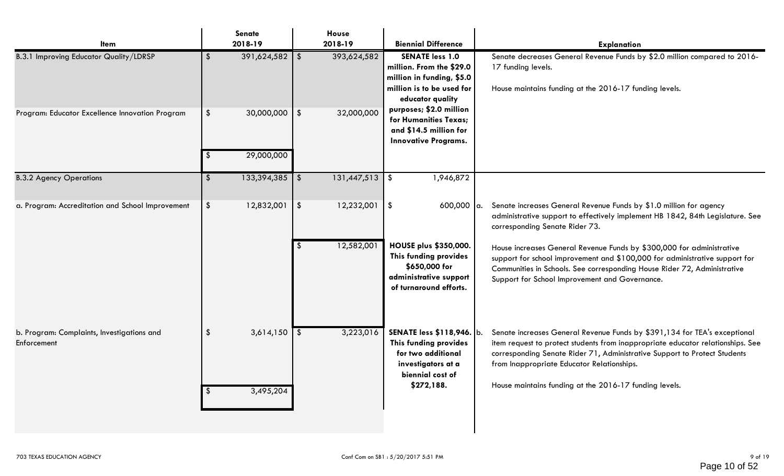| <b>Item</b>                                               | <b>Senate</b><br>2018-19                                   | House<br>2018-19            | <b>Biennial Difference</b>                                                                                                       | <b>Explanation</b>                                                                                                                                                                                                                                                                                                                                |
|-----------------------------------------------------------|------------------------------------------------------------|-----------------------------|----------------------------------------------------------------------------------------------------------------------------------|---------------------------------------------------------------------------------------------------------------------------------------------------------------------------------------------------------------------------------------------------------------------------------------------------------------------------------------------------|
| <b>B.3.1 Improving Educator Quality/LDRSP</b>             | $391,624,582$ \$<br>\$                                     | 393,624,582                 | <b>SENATE less 1.0</b><br>million. From the \$29.0<br>million in funding, \$5.0<br>million is to be used for<br>educator quality | Senate decreases General Revenue Funds by \$2.0 million compared to 2016-<br>17 funding levels.<br>House maintains funding at the 2016-17 funding levels.                                                                                                                                                                                         |
| Program: Educator Excellence Innovation Program           | $30,000,000$   \$<br>$\sqrt[6]{\frac{1}{2}}$<br>29,000,000 | 32,000,000                  | purposes; \$2.0 million<br>for Humanities Texas;<br>and \$14.5 million for<br><b>Innovative Programs.</b>                        |                                                                                                                                                                                                                                                                                                                                                   |
| <b>B.3.2 Agency Operations</b>                            | 133,394,385<br>$\boldsymbol{\hat{\zeta}}$                  | 131,447,513<br>l \$         | 1,946,872<br>$\vert$ \$                                                                                                          |                                                                                                                                                                                                                                                                                                                                                   |
|                                                           |                                                            |                             |                                                                                                                                  |                                                                                                                                                                                                                                                                                                                                                   |
| a. Program: Accreditation and School Improvement          | $\sqrt{2}$<br>12,832,001                                   | 12,232,001<br>$\frac{1}{2}$ | $\vert \$$<br>$600,000$ a.                                                                                                       | Senate increases General Revenue Funds by \$1.0 million for agency<br>administrative support to effectively implement HB 1842, 84th Legislature. See<br>corresponding Senate Rider 73.                                                                                                                                                            |
|                                                           |                                                            | 12,582,001<br>\$            | HOUSE plus \$350,000.<br>This funding provides<br>\$650,000 for<br>administrative support<br>of turnaround efforts.              | House increases General Revenue Funds by \$300,000 for administrative<br>support for school improvement and \$100,000 for administrative support for<br>Communities in Schools. See corresponding House Rider 72, Administrative<br>Support for School Improvement and Governance.                                                                |
| b. Program: Complaints, Investigations and<br>Enforcement | 3,614,150<br>\$<br>3,495,204                               | 3,223,016                   | SENATE less \$118,946. b.<br>This funding provides<br>for two additional<br>investigators at a<br>biennial cost of<br>\$272,188. | Senate increases General Revenue Funds by \$391,134 for TEA's exceptional<br>item request to protect students from inappropriate educator relationships. See<br>corresponding Senate Rider 71, Administrative Support to Protect Students<br>from Inappropriate Educator Relationships.<br>House maintains funding at the 2016-17 funding levels. |
|                                                           |                                                            |                             |                                                                                                                                  |                                                                                                                                                                                                                                                                                                                                                   |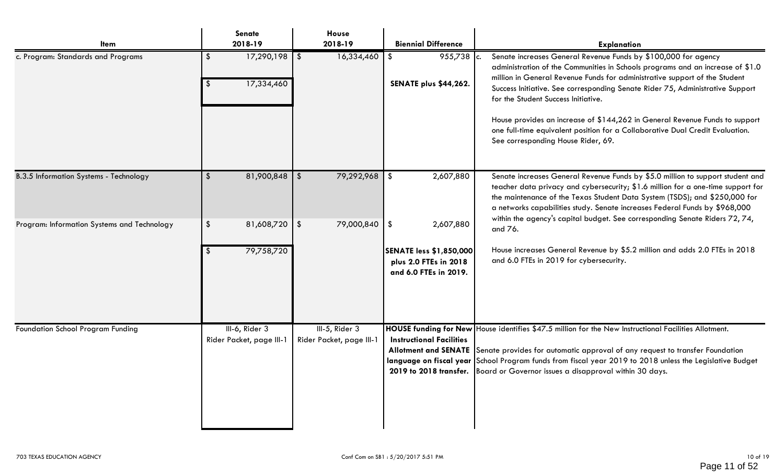| Item                                          | Senate<br>2018-19                                          | House<br>2018-19                              | <b>Biennial Difference</b>                                                                                     | <b>Explanation</b>                                                                                                                                                                                                                                                                                                                                                                                                                                                                                                                                           |
|-----------------------------------------------|------------------------------------------------------------|-----------------------------------------------|----------------------------------------------------------------------------------------------------------------|--------------------------------------------------------------------------------------------------------------------------------------------------------------------------------------------------------------------------------------------------------------------------------------------------------------------------------------------------------------------------------------------------------------------------------------------------------------------------------------------------------------------------------------------------------------|
| c. Program: Standards and Programs            | $17,290,198$ \$<br>$\boldsymbol{\mathsf{s}}$<br>17,334,460 | 16,334,460                                    | 955,738 c.<br>\$<br><b>SENATE plus \$44,262.</b>                                                               | Senate increases General Revenue Funds by \$100,000 for agency<br>administration of the Communities in Schools programs and an increase of \$1.0<br>million in General Revenue Funds for administrative support of the Student<br>Success Initiative. See corresponding Senate Rider 75, Administrative Support<br>for the Student Success Initiative.<br>House provides an increase of \$144,262 in General Revenue Funds to support<br>one full-time equivalent position for a Collaborative Dual Credit Evaluation.<br>See corresponding House Rider, 69. |
| <b>B.3.5 Information Systems - Technology</b> | $81,900,848$ \ \\$<br>$\frac{2}{3}$                        | 79,292,968                                    | 2,607,880<br>-\$                                                                                               | Senate increases General Revenue Funds by \$5.0 million to support student and<br>teacher data privacy and cybersecurity; \$1.6 million for a one-time support for<br>the maintenance of the Texas Student Data System (TSDS); and \$250,000 for<br>a networks capabilities study. Senate increases Federal Funds by \$968,000<br>within the agency's capital budget. See corresponding Senate Riders 72, 74,                                                                                                                                                |
| Program: Information Systems and Technology   | $\frac{1}{2}$<br>$81,608,720$ \$<br>79,758,720             | 79,000,840                                    | $\sqrt[6]{3}$<br>2,607,880<br><b>SENATE less \$1,850,000</b><br>plus 2.0 FTEs in 2018<br>and 6.0 FTEs in 2019. | and 76.<br>House increases General Revenue by \$5.2 million and adds 2.0 FTEs in 2018<br>and 6.0 FTEs in 2019 for cybersecurity.                                                                                                                                                                                                                                                                                                                                                                                                                             |
| Foundation School Program Funding             | III-6, Rider 3<br>Rider Packet, page III-                  | $III-5$ , Rider 3<br>Rider Packet, page III-1 | <b>Instructional Facilities</b>                                                                                | HOUSE funding for New House identifies \$47.5 million for the New Instructional Facilities Allotment.<br>Allotment and SENATE Senate provides for automatic approval of any request to transfer Foundation<br>language on fiscal year School Program funds from fiscal year 2019 to 2018 unless the Legislative Budget<br>2019 to 2018 transfer. Board or Governor issues a disapproval within 30 days.                                                                                                                                                      |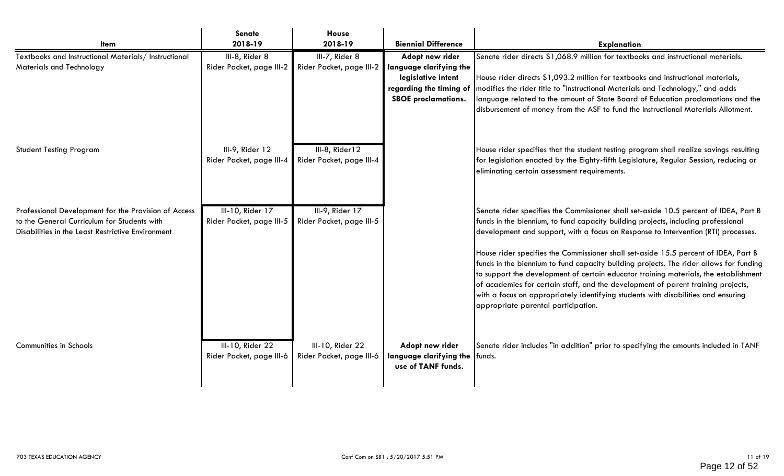|                                                                                                                                                          | <b>Senate</b>                                | House                                        |                                                                             |                                                                                                                                                                                                                                                                                                                                                                                                                                                                                                                                                                                                                                                                                                                                                          |
|----------------------------------------------------------------------------------------------------------------------------------------------------------|----------------------------------------------|----------------------------------------------|-----------------------------------------------------------------------------|----------------------------------------------------------------------------------------------------------------------------------------------------------------------------------------------------------------------------------------------------------------------------------------------------------------------------------------------------------------------------------------------------------------------------------------------------------------------------------------------------------------------------------------------------------------------------------------------------------------------------------------------------------------------------------------------------------------------------------------------------------|
| ltem                                                                                                                                                     | 2018-19                                      | 2018-19                                      | <b>Biennial Difference</b>                                                  | <b>Explanation</b>                                                                                                                                                                                                                                                                                                                                                                                                                                                                                                                                                                                                                                                                                                                                       |
| Textbooks and Instructional Materials/Instructional<br>Materials and Technology                                                                          | III-8, Rider 8<br>Rider Packet, page III-2   | III-7, Rider 8<br>Rider Packet, page III-2   | Adopt new rider<br>language clarifying the                                  | Senate rider directs \$1,068.9 million for textbooks and instructional materials.                                                                                                                                                                                                                                                                                                                                                                                                                                                                                                                                                                                                                                                                        |
|                                                                                                                                                          |                                              |                                              | legislative intent<br>regarding the timing of<br><b>SBOE</b> proclamations. | House rider directs \$1,093.2 million for textbooks and instructional materials,<br>modifies the rider title to "Instructional Materials and Technology," and adds<br>Ianguage related to the amount of State Board of Education proclamations and the<br>disbursement of money from the ASF to fund the Instructional Materials Allotment.                                                                                                                                                                                                                                                                                                                                                                                                              |
| <b>Student Testing Program</b>                                                                                                                           | III-9, Rider 12<br>Rider Packet, page III-4  | III-8, Rider12<br>Rider Packet, page III-4   |                                                                             | House rider specifies that the student testing program shall realize savings resulting<br>for legislation enacted by the Eighty-fifth Legislature, Regular Session, reducing or<br>eliminating certain assessment requirements.                                                                                                                                                                                                                                                                                                                                                                                                                                                                                                                          |
| Professional Development for the Provision of Access<br>to the General Curriculum for Students with<br>Disabilities in the Least Restrictive Environment | III-10, Rider 17<br>Rider Packet, page III-5 | III-9, Rider 17<br>Rider Packet, page III-5  |                                                                             | Senate rider specifies the Commissioner shall set-aside 10.5 percent of IDEA, Part B<br>funds in the biennium, to fund capacity building projects, including professional<br>development and support, with a focus on Response to Intervention (RTI) processes.<br>House rider specifies the Commissioner shall set-aside 15.5 percent of IDEA, Part B<br>funds in the biennium to fund capacity building projects. The rider allows for funding<br>to support the development of certain educator training materials, the establishment<br>of academies for certain staff, and the development of parent training projects,<br>with a focus on appropriately identifying students with disabilities and ensuring<br>appropriate parental participation. |
| Communities in Schools                                                                                                                                   | III-10, Rider 22<br>Rider Packet, page III-6 | III-10, Rider 22<br>Rider Packet, page III-6 | Adopt new rider<br>language clarifying the funds.<br>use of TANF funds.     | Senate rider includes "in addition" prior to specifying the amounts included in TANF                                                                                                                                                                                                                                                                                                                                                                                                                                                                                                                                                                                                                                                                     |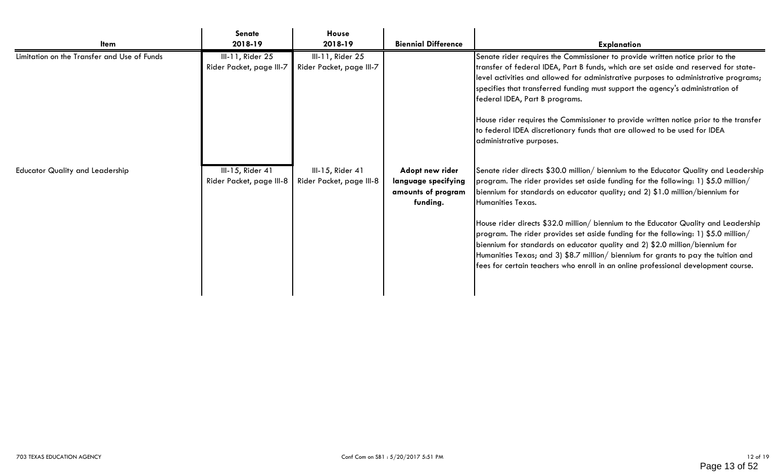|                                             | <b>Senate</b>                                | <b>House</b>                                 |                                                                          |                                                                                                                                                                                                                                                                                                                                                                                                                                                                                                                                                                                                                                                                                                                           |
|---------------------------------------------|----------------------------------------------|----------------------------------------------|--------------------------------------------------------------------------|---------------------------------------------------------------------------------------------------------------------------------------------------------------------------------------------------------------------------------------------------------------------------------------------------------------------------------------------------------------------------------------------------------------------------------------------------------------------------------------------------------------------------------------------------------------------------------------------------------------------------------------------------------------------------------------------------------------------------|
| <b>Item</b>                                 | 2018-19                                      | 2018-19                                      | <b>Biennial Difference</b>                                               | <b>Explanation</b>                                                                                                                                                                                                                                                                                                                                                                                                                                                                                                                                                                                                                                                                                                        |
| Limitation on the Transfer and Use of Funds | III-11, Rider 25<br>Rider Packet, page III-7 | III-11, Rider 25<br>Rider Packet, page III-7 |                                                                          | Senate rider requires the Commissioner to provide written notice prior to the<br>transfer of federal IDEA, Part B funds, which are set aside and reserved for state-<br>level activities and allowed for administrative purposes to administrative programs;<br>specifies that transferred funding must support the agency's administration of<br>federal IDEA, Part B programs.<br>House rider requires the Commissioner to provide written notice prior to the transfer<br>to federal IDEA discretionary funds that are allowed to be used for IDEA<br>administrative purposes.                                                                                                                                         |
| <b>Educator Quality and Leadership</b>      | III-15, Rider 41<br>Rider Packet, page III-8 | III-15, Rider 41<br>Rider Packet, page III-8 | Adopt new rider<br>language specifying<br>amounts of program<br>funding. | Senate rider directs \$30.0 million/ biennium to the Educator Quality and Leadership<br>program. The rider provides set aside funding for the following: 1) \$5.0 million/<br>biennium for standards on educator quality; and 2) \$1.0 million/biennium for<br>Humanities Texas.<br>House rider directs \$32.0 million/ biennium to the Educator Quality and Leadership<br>program. The rider provides set aside funding for the following: 1) \$5.0 million/<br>biennium for standards on educator quality and 2) \$2.0 million/biennium for<br>Humanities Texas; and 3) \$8.7 million/ biennium for grants to pay the tuition and<br>fees for certain teachers who enroll in an online professional development course. |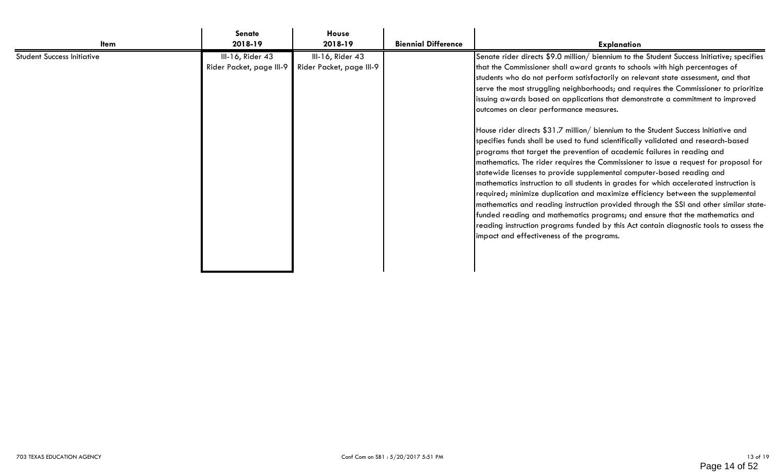| ltem                       | <b>Senate</b><br>2018-19                     | House<br>2018-19                             | <b>Biennial Difference</b> | <b>Explanation</b>                                                                                                                                                                                                                                                                                                                                                                                                                                                                                                                                                                                                                                                                                                                                                                                                                                                                                                                                                                                                                                                                                                                                                                                                                                                                                                                                                                                      |
|----------------------------|----------------------------------------------|----------------------------------------------|----------------------------|---------------------------------------------------------------------------------------------------------------------------------------------------------------------------------------------------------------------------------------------------------------------------------------------------------------------------------------------------------------------------------------------------------------------------------------------------------------------------------------------------------------------------------------------------------------------------------------------------------------------------------------------------------------------------------------------------------------------------------------------------------------------------------------------------------------------------------------------------------------------------------------------------------------------------------------------------------------------------------------------------------------------------------------------------------------------------------------------------------------------------------------------------------------------------------------------------------------------------------------------------------------------------------------------------------------------------------------------------------------------------------------------------------|
| Student Success Initiative | III-16, Rider 43<br>Rider Packet, page III-9 | III-16, Rider 43<br>Rider Packet, page III-9 |                            | Senate rider directs \$9.0 million/ biennium to the Student Success Initiative; specifies<br>that the Commissioner shall award grants to schools with high percentages of<br>students who do not perform satisfactorily on relevant state assessment, and that<br>serve the most struggling neighborhoods; and requires the Commissioner to prioritize<br>issuing awards based on applications that demonstrate a commitment to improved<br>outcomes on clear performance measures.<br>House rider directs \$31.7 million/ biennium to the Student Success Initiative and<br>specifies funds shall be used to fund scientifically validated and research-based<br>programs that target the prevention of academic failures in reading and<br>mathematics. The rider requires the Commissioner to issue a request for proposal for<br>statewide licenses to provide supplemental computer-based reading and<br>mathematics instruction to all students in grades for which accelerated instruction is<br>required; minimize duplication and maximize efficiency between the supplemental<br>mathematics and reading instruction provided through the SSI and other similar state-<br>funded reading and mathematics programs; and ensure that the mathematics and<br>reading instruction programs funded by this Act contain diagnostic tools to assess the<br>impact and effectiveness of the programs. |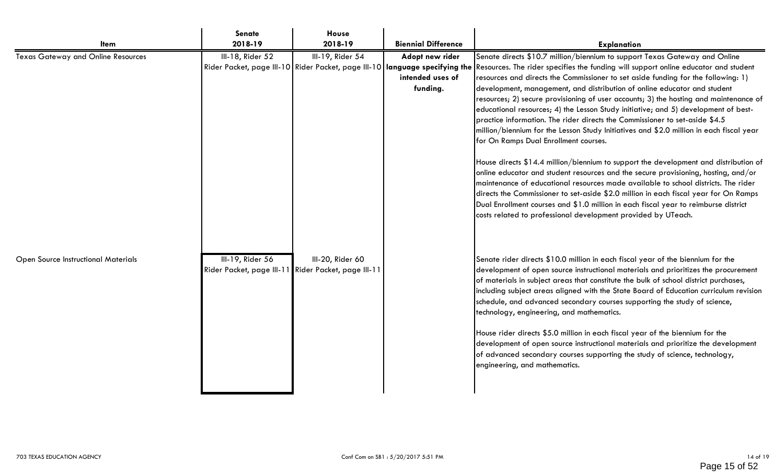|                                            | <b>Senate</b>                                                           | House            |                                                 |                                                                                                                                                                                                                                                                                                                                                                                                                                                                                                                                                                                                                                                                                                                                                                                                                                                                                                                                                                                                                                                                                                                                                                                                                                                                                                                                        |
|--------------------------------------------|-------------------------------------------------------------------------|------------------|-------------------------------------------------|----------------------------------------------------------------------------------------------------------------------------------------------------------------------------------------------------------------------------------------------------------------------------------------------------------------------------------------------------------------------------------------------------------------------------------------------------------------------------------------------------------------------------------------------------------------------------------------------------------------------------------------------------------------------------------------------------------------------------------------------------------------------------------------------------------------------------------------------------------------------------------------------------------------------------------------------------------------------------------------------------------------------------------------------------------------------------------------------------------------------------------------------------------------------------------------------------------------------------------------------------------------------------------------------------------------------------------------|
| <b>Item</b>                                | 2018-19                                                                 | 2018-19          | <b>Biennial Difference</b>                      | <b>Explanation</b>                                                                                                                                                                                                                                                                                                                                                                                                                                                                                                                                                                                                                                                                                                                                                                                                                                                                                                                                                                                                                                                                                                                                                                                                                                                                                                                     |
| <b>Texas Gateway and Online Resources</b>  | III-18, Rider 52                                                        | III-19, Rider 54 | Adopt new rider<br>intended uses of<br>funding. | Senate directs \$10.7 million/biennium to support Texas Gateway and Online<br>Rider Packet, page III-10 Rider Packet, page III-10   language specifying the Resources. The rider specifies the funding will support online educator and student<br>resources and directs the Commissioner to set aside funding for the following: 1)<br>development, management, and distribution of online educator and student<br>resources; 2) secure provisioning of user accounts; 3) the hosting and maintenance of<br>educational resources; 4) the Lesson Study initiative; and 5) development of best-<br>practice information. The rider directs the Commissioner to set-aside \$4.5<br>million/biennium for the Lesson Study Initiatives and \$2.0 million in each fiscal year<br>for On Ramps Dual Enrollment courses.<br>House directs \$14.4 million/biennium to support the development and distribution of<br>online educator and student resources and the secure provisioning, hosting, and/or<br>maintenance of educational resources made available to school districts. The rider<br>directs the Commissioner to set-aside \$2.0 million in each fiscal year for On Ramps<br>Dual Enrollment courses and \$1.0 million in each fiscal year to reimburse district<br>costs related to professional development provided by UTeach. |
| <b>Open Source Instructional Materials</b> | III-19, Rider 56<br>Rider Packet, page III-11 Rider Packet, page III-11 | III-20, Rider 60 |                                                 | Senate rider directs \$10.0 million in each fiscal year of the biennium for the<br>development of open source instructional materials and prioritizes the procurement<br>of materials in subject areas that constitute the bulk of school district purchases,<br>including subject areas aligned with the State Board of Education curriculum revision<br>schedule, and advanced secondary courses supporting the study of science,<br>technology, engineering, and mathematics.<br>House rider directs \$5.0 million in each fiscal year of the biennium for the<br>development of open source instructional materials and prioritize the development<br>of advanced secondary courses supporting the study of science, technology,<br>engineering, and mathematics.                                                                                                                                                                                                                                                                                                                                                                                                                                                                                                                                                                  |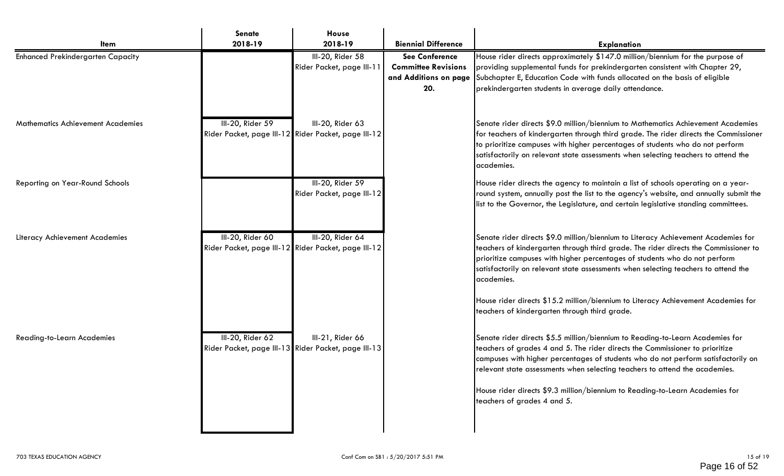| <b>I</b> tem                             | <b>Senate</b><br>2018-19                                                | House<br>2018-19                                                        | <b>Biennial Difference</b>                                                          | <b>Explanation</b>                                                                                                                                                                                                                                                                                                                                                                                                                                                                               |
|------------------------------------------|-------------------------------------------------------------------------|-------------------------------------------------------------------------|-------------------------------------------------------------------------------------|--------------------------------------------------------------------------------------------------------------------------------------------------------------------------------------------------------------------------------------------------------------------------------------------------------------------------------------------------------------------------------------------------------------------------------------------------------------------------------------------------|
| <b>Enhanced Prekindergarten Capacity</b> |                                                                         | III-20, Rider 58<br>Rider Packet, page III-11                           | <b>See Conference</b><br><b>Committee Revisions</b><br>and Additions on page<br>20. | House rider directs approximately \$147.0 million/biennium for the purpose of<br>providing supplemental funds for prekindergarten consistent with Chapter 29,<br>Subchapter E, Education Code with funds allocated on the basis of eligible<br>prekindergarten students in average daily attendance.                                                                                                                                                                                             |
| <b>Mathematics Achievement Academies</b> | III-20, Rider 59                                                        | III-20, Rider 63<br>Rider Packet, page III-12 Rider Packet, page III-12 |                                                                                     | Senate rider directs \$9.0 million/biennium to Mathematics Achievement Academies<br>for teachers of kindergarten through third grade. The rider directs the Commissioner<br>to prioritize campuses with higher percentages of students who do not perform<br>satisfactorily on relevant state assessments when selecting teachers to attend the<br>academies.                                                                                                                                    |
| Reporting on Year-Round Schools          |                                                                         | III-20, Rider 59<br>Rider Packet, page III-12                           |                                                                                     | House rider directs the agency to maintain a list of schools operating on a year-<br>round system, annually post the list to the agency's website, and annually submit the<br>list to the Governor, the Legislature, and certain legislative standing committees.                                                                                                                                                                                                                                |
| Literacy Achievement Academies           | III-20, Rider 60                                                        | III-20, Rider 64<br>Rider Packet, page III-12 Rider Packet, page III-12 |                                                                                     | Senate rider directs \$9.0 million/biennium to Literacy Achievement Academies for<br>teachers of kindergarten through third grade. The rider directs the Commissioner to<br>prioritize campuses with higher percentages of students who do not perform<br>satisfactorily on relevant state assessments when selecting teachers to attend the<br>academies.<br>House rider directs \$15.2 million/biennium to Literacy Achievement Academies for<br>teachers of kindergarten through third grade. |
| <b>Reading-to-Learn Academies</b>        | III-20, Rider 62<br>Rider Packet, page III-13 Rider Packet, page III-13 | III-21, Rider 66                                                        |                                                                                     | Senate rider directs \$5.5 million/biennium to Reading-to-Learn Academies for<br>teachers of grades 4 and 5. The rider directs the Commissioner to prioritize<br>campuses with higher percentages of students who do not perform satisfactorily on<br>relevant state assessments when selecting teachers to attend the academies.<br>House rider directs \$9.3 million/biennium to Reading-to-Learn Academies for<br>teachers of grades 4 and 5.                                                 |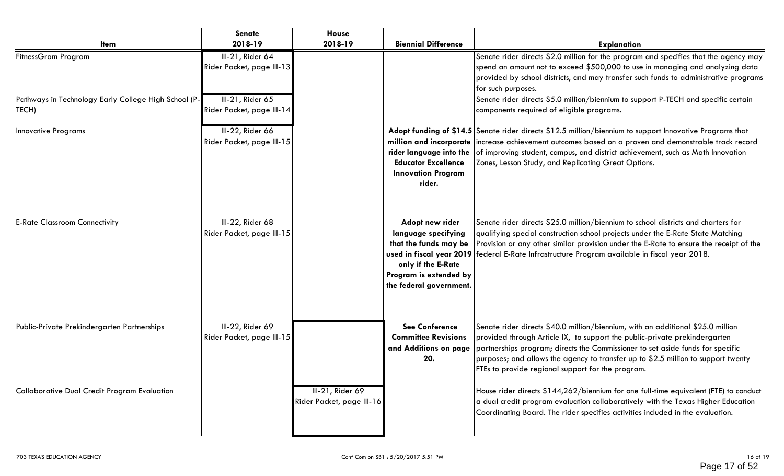| <b>Item</b>                                                   | <b>Senate</b><br>2018-19                      | House<br>2018-19                              | <b>Biennial Difference</b>                                                                                                                 | <b>Explanation</b>                                                                                                                                                                                                                                                                                                                                                                        |  |
|---------------------------------------------------------------|-----------------------------------------------|-----------------------------------------------|--------------------------------------------------------------------------------------------------------------------------------------------|-------------------------------------------------------------------------------------------------------------------------------------------------------------------------------------------------------------------------------------------------------------------------------------------------------------------------------------------------------------------------------------------|--|
| <b>FitnessGram Program</b>                                    | III-21, Rider 64<br>Rider Packet, page III-13 |                                               |                                                                                                                                            | Senate rider directs \$2.0 million for the program and specifies that the agency may<br>spend an amount not to exceed \$500,000 to use in managing and analyzing data<br>provided by school districts, and may transfer such funds to administrative programs<br>for such purposes.                                                                                                       |  |
| Pathways in Technology Early College High School (P-<br>TECH) | III-21, Rider 65<br>Rider Packet, page III-14 |                                               |                                                                                                                                            | Senate rider directs \$5.0 million/biennium to support P-TECH and specific certain<br>components required of eligible programs.                                                                                                                                                                                                                                                           |  |
| <b>Innovative Programs</b>                                    | III-22, Rider 66<br>Rider Packet, page III-15 |                                               | <b>Educator Excellence</b><br><b>Innovation Program</b><br>rider.                                                                          | Adopt funding of \$14.5 Senate rider directs \$12.5 million/biennium to support Innovative Programs that<br>million and incorporate increase achievement outcomes based on a proven and demonstrable track record<br>rider language into the of improving student, campus, and district achievement, such as Math Innovation<br>Zones, Lesson Study, and Replicating Great Options.       |  |
| <b>E-Rate Classroom Connectivity</b>                          | III-22, Rider 68<br>Rider Packet, page III-15 |                                               | Adopt new rider<br>language specifying<br>that the funds may be<br>only if the E-Rate<br>Program is extended by<br>the federal government. | Senate rider directs \$25.0 million/biennium to school districts and charters for<br>qualifying special construction school projects under the E-Rate State Matching<br>Provision or any other similar provision under the E-Rate to ensure the receipt of the<br>used in fiscal year 2019   federal E-Rate Infrastructure Program available in fiscal year 2018.                         |  |
| Public-Private Prekindergarten Partnerships                   | III-22, Rider 69<br>Rider Packet, page III-15 |                                               | <b>See Conference</b><br><b>Committee Revisions</b><br>and Additions on page<br>20.                                                        | Senate rider directs \$40.0 million/biennium, with an additional \$25.0 million<br>provided through Article IX, to support the public-private prekindergarten<br>partnerships program; directs the Commissioner to set aside funds for specific<br>purposes; and allows the agency to transfer up to \$2.5 million to support twenty<br>FTEs to provide regional support for the program. |  |
| <b>Collaborative Dual Credit Program Evaluation</b>           |                                               | III-21, Rider 69<br>Rider Packet, page III-16 |                                                                                                                                            | House rider directs \$144,262/biennium for one full-time equivalent (FTE) to conduct<br>a dual credit program evaluation collaboratively with the Texas Higher Education<br>Coordinating Board. The rider specifies activities included in the evaluation.                                                                                                                                |  |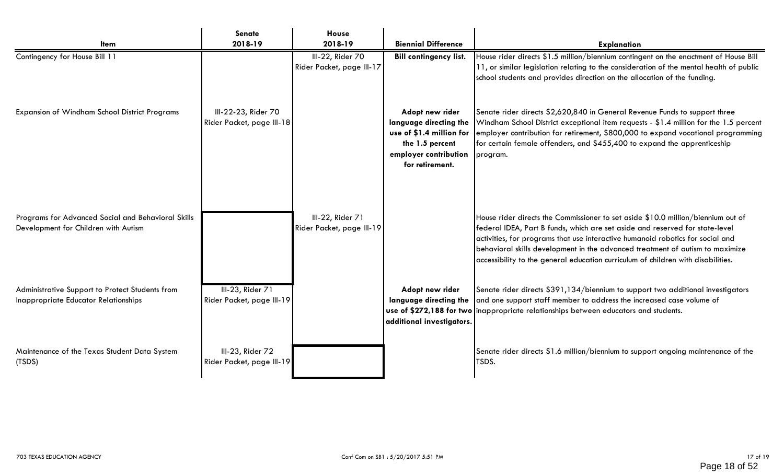| <b>I</b> tem                                                                               | <b>Senate</b><br>2018-19                         | House<br>2018-19                              | <b>Biennial Difference</b>                                                                                                           | <b>Explanation</b>                                                                                                                                                                                                                                                                                                                                                                                                      |
|--------------------------------------------------------------------------------------------|--------------------------------------------------|-----------------------------------------------|--------------------------------------------------------------------------------------------------------------------------------------|-------------------------------------------------------------------------------------------------------------------------------------------------------------------------------------------------------------------------------------------------------------------------------------------------------------------------------------------------------------------------------------------------------------------------|
| Contingency for House Bill 11                                                              |                                                  | III-22, Rider 70<br>Rider Packet, page III-17 | <b>Bill contingency list.</b>                                                                                                        | House rider directs \$1.5 million/biennium contingent on the enactment of House Bill<br>11, or similar legislation relating to the consideration of the mental health of public<br>school students and provides direction on the allocation of the funding.                                                                                                                                                             |
| Expansion of Windham School District Programs                                              | III-22-23, Rider 70<br>Rider Packet, page III-18 |                                               | Adopt new rider<br>language directing the<br>use of \$1.4 million for<br>the 1.5 percent<br>employer contribution<br>for retirement. | Senate rider directs \$2,620,840 in General Revenue Funds to support three<br>Windham School District exceptional item requests - \$1.4 million for the 1.5 percent<br>employer contribution for retirement, \$800,000 to expand vocational programming<br>for certain female offenders, and \$455,400 to expand the apprenticeship<br>program.                                                                         |
| Programs for Advanced Social and Behavioral Skills<br>Development for Children with Autism |                                                  | III-22, Rider 71<br>Rider Packet, page III-19 |                                                                                                                                      | House rider directs the Commissioner to set aside \$10.0 million/biennium out of<br>federal IDEA, Part B funds, which are set aside and reserved for state-level<br>activities, for programs that use interactive humanoid robotics for social and<br>behavioral skills development in the advanced treatment of autism to maximize<br>accessibility to the general education curriculum of children with disabilities. |
| Administrative Support to Protect Students from<br>Inappropriate Educator Relationships    | III-23, Rider 71<br>Rider Packet, page III-19    |                                               | Adopt new rider<br>language directing the<br>additional investigators.                                                               | Senate rider directs \$391,134/biennium to support two additional investigators<br>and one support staff member to address the increased case volume of<br>use of \$272,188 for two inappropriate relationships between educators and students.                                                                                                                                                                         |
| Maintenance of the Texas Student Data System<br>(TSDS)                                     | III-23, Rider 72<br>Rider Packet, page III-19    |                                               |                                                                                                                                      | Senate rider directs \$1.6 million/biennium to support ongoing maintenance of the<br>TSDS.                                                                                                                                                                                                                                                                                                                              |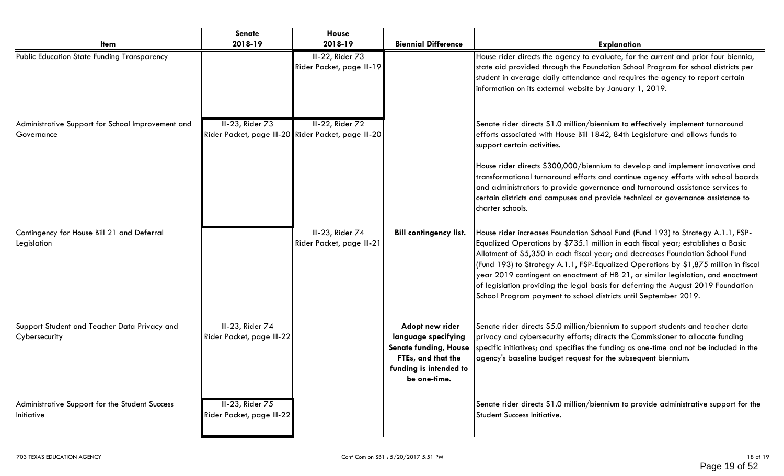| <b>Item</b>                                                     | <b>Senate</b><br>2018-19                      | House<br>2018-19                                                        | <b>Biennial Difference</b>                                                                                                             | <b>Explanation</b>                                                                                                                                                                                                                                                                                                                                                                                                                                                                                                                                                                         |  |
|-----------------------------------------------------------------|-----------------------------------------------|-------------------------------------------------------------------------|----------------------------------------------------------------------------------------------------------------------------------------|--------------------------------------------------------------------------------------------------------------------------------------------------------------------------------------------------------------------------------------------------------------------------------------------------------------------------------------------------------------------------------------------------------------------------------------------------------------------------------------------------------------------------------------------------------------------------------------------|--|
| <b>Public Education State Funding Transparency</b>              |                                               | III-22, Rider 73<br>Rider Packet, page III-19                           |                                                                                                                                        | House rider directs the agency to evaluate, for the current and prior four biennia,<br>state aid provided through the Foundation School Program for school districts per<br>student in average daily attendance and requires the agency to report certain<br>information on its external website by January 1, 2019.                                                                                                                                                                                                                                                                       |  |
| Administrative Support for School Improvement and<br>Governance | III-23, Rider 73                              | III-22, Rider 72<br>Rider Packet, page III-20 Rider Packet, page III-20 |                                                                                                                                        | Senate rider directs \$1.0 million/biennium to effectively implement turnaround<br>efforts associated with House Bill 1842, 84th Legislature and allows funds to<br>support certain activities.                                                                                                                                                                                                                                                                                                                                                                                            |  |
|                                                                 |                                               |                                                                         |                                                                                                                                        | House rider directs \$300,000/biennium to develop and implement innovative and<br>transformational turnaround efforts and continue agency efforts with school boards<br>and administrators to provide governance and turnaround assistance services to<br>certain districts and campuses and provide technical or governance assistance to<br>charter schools.                                                                                                                                                                                                                             |  |
| Contingency for House Bill 21 and Deferral<br>Legislation       |                                               | III-23, Rider 74<br>Rider Packet, page III-21                           | <b>Bill contingency list.</b>                                                                                                          | House rider increases Foundation School Fund (Fund 193) to Strategy A.1.1, FSP-<br>Equalized Operations by \$735.1 million in each fiscal year; establishes a Basic<br>Allotment of \$5,350 in each fiscal year; and decreases Foundation School Fund<br>(Fund 193) to Strategy A.1.1, FSP-Equalized Operations by \$1,875 million in fiscal<br>year 2019 contingent on enactment of HB 21, or similar legislation, and enactment<br>of legislation providing the legal basis for deferring the August 2019 Foundation<br>School Program payment to school districts until September 2019. |  |
| Support Student and Teacher Data Privacy and<br>Cybersecurity   | III-23, Rider 74<br>Rider Packet, page III-22 |                                                                         | Adopt new rider<br>language specifying<br><b>Senate funding, House</b><br>FTEs, and that the<br>funding is intended to<br>be one-time. | Senate rider directs \$5.0 million/biennium to support students and teacher data<br>privacy and cybersecurity efforts; directs the Commissioner to allocate funding<br>specific initiatives; and specifies the funding as one-time and not be included in the<br>agency's baseline budget request for the subsequent biennium.                                                                                                                                                                                                                                                             |  |
| Administrative Support for the Student Success<br>Initiative    | III-23, Rider 75<br>Rider Packet, page III-22 |                                                                         |                                                                                                                                        | Senate rider directs \$1.0 million/biennium to provide administrative support for the<br>Student Success Initiative.                                                                                                                                                                                                                                                                                                                                                                                                                                                                       |  |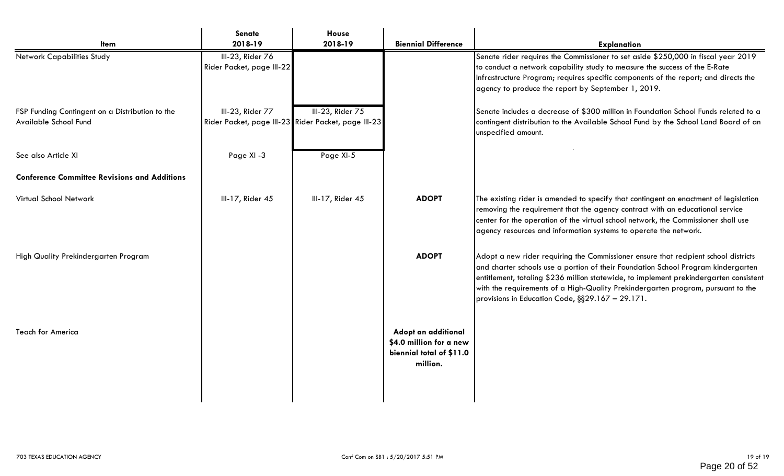|                                                                          | <b>Senate</b>                                 | House                                                                   |                                                                                        |                                                                                                                                                                                                                                                                                                                                                                                                            |
|--------------------------------------------------------------------------|-----------------------------------------------|-------------------------------------------------------------------------|----------------------------------------------------------------------------------------|------------------------------------------------------------------------------------------------------------------------------------------------------------------------------------------------------------------------------------------------------------------------------------------------------------------------------------------------------------------------------------------------------------|
| Item                                                                     | 2018-19                                       | 2018-19                                                                 | <b>Biennial Difference</b>                                                             | <b>Explanation</b>                                                                                                                                                                                                                                                                                                                                                                                         |
| Network Capabilities Study                                               | III-23, Rider 76<br>Rider Packet, page III-22 |                                                                         |                                                                                        | Senate rider requires the Commissioner to set aside \$250,000 in fiscal year 2019<br>to conduct a network capability study to measure the success of the E-Rate<br>Infrastructure Program; requires specific components of the report; and directs the<br>agency to produce the report by September 1, 2019.                                                                                               |
| FSP Funding Contingent on a Distribution to the<br>Available School Fund | III-23, Rider 77                              | III-23, Rider 75<br>Rider Packet, page III-23 Rider Packet, page III-23 |                                                                                        | Senate includes a decrease of \$300 million in Foundation School Funds related to a<br>contingent distribution to the Available School Fund by the School Land Board of an<br>unspecified amount.                                                                                                                                                                                                          |
| See also Article XI                                                      | Page XI -3                                    | Page XI-5                                                               |                                                                                        |                                                                                                                                                                                                                                                                                                                                                                                                            |
| <b>Conference Committee Revisions and Additions</b>                      |                                               |                                                                         |                                                                                        |                                                                                                                                                                                                                                                                                                                                                                                                            |
| Virtual School Network                                                   | III-17, Rider 45                              | III-17, Rider 45                                                        | <b>ADOPT</b>                                                                           | The existing rider is amended to specify that contingent on enactment of legislation<br>removing the requirement that the agency contract with an educational service<br>center for the operation of the virtual school network, the Commissioner shall use<br>agency resources and information systems to operate the network.                                                                            |
| High Quality Prekindergarten Program                                     |                                               |                                                                         | <b>ADOPT</b>                                                                           | Adopt a new rider requiring the Commissioner ensure that recipient school districts<br>and charter schools use a portion of their Foundation School Program kindergarten<br>entitlement, totaling \$236 million statewide, to implement prekindergarten consistent<br>with the requirements of a High-Quality Prekindergarten program, pursuant to the<br>provisions in Education Code, §§29.167 - 29.171. |
| <b>Teach for America</b>                                                 |                                               |                                                                         | Adopt an additional<br>\$4.0 million for a new<br>biennial total of \$11.0<br>million. |                                                                                                                                                                                                                                                                                                                                                                                                            |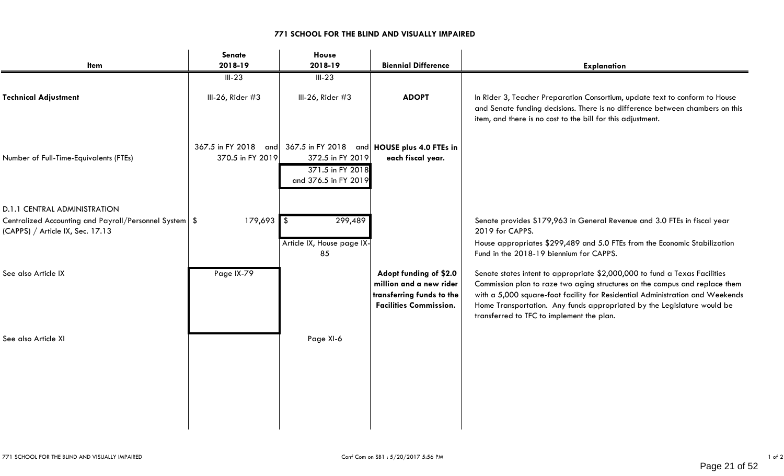### **771 SCHOOL FOR THE BLIND AND VISUALLY IMPAIRED**

| Item                                                                                         | Senate<br>2018-19 | House<br>2018-19                                                                                                                 | <b>Biennial Difference</b>                                                                                      | <b>Explanation</b>                                                                                                                                                                                                                                                                                                                                                 |
|----------------------------------------------------------------------------------------------|-------------------|----------------------------------------------------------------------------------------------------------------------------------|-----------------------------------------------------------------------------------------------------------------|--------------------------------------------------------------------------------------------------------------------------------------------------------------------------------------------------------------------------------------------------------------------------------------------------------------------------------------------------------------------|
|                                                                                              | $III-23$          | $III-23$                                                                                                                         |                                                                                                                 |                                                                                                                                                                                                                                                                                                                                                                    |
| <b>Technical Adjustment</b>                                                                  | III-26, Rider #3  | III-26, Rider $#3$                                                                                                               | <b>ADOPT</b>                                                                                                    | In Rider 3, Teacher Preparation Consortium, update text to conform to House<br>and Senate funding decisions. There is no difference between chambers on this<br>item, and there is no cost to the bill for this adjustment.                                                                                                                                        |
| Number of Full-Time-Equivalents (FTEs)                                                       | 370.5 in FY 2019  | 367.5 in FY 2018 and 367.5 in FY 2018 and HOUSE plus 4.0 FTEs in<br>372.5 in FY 2019<br>371.5 in FY 2018<br>and 376.5 in FY 2019 | each fiscal year.                                                                                               |                                                                                                                                                                                                                                                                                                                                                                    |
| <b>D.1.1 CENTRAL ADMINISTRATION</b>                                                          |                   |                                                                                                                                  |                                                                                                                 |                                                                                                                                                                                                                                                                                                                                                                    |
| Centralized Accounting and Payroll/Personnel System   \$<br>(CAPPS) / Article IX, Sec. 17.13 | $179,693$ \$      | 299,489                                                                                                                          |                                                                                                                 | Senate provides \$179,963 in General Revenue and 3.0 FTEs in fiscal year<br>2019 for CAPPS.                                                                                                                                                                                                                                                                        |
|                                                                                              |                   | Article IX, House page IX-<br>85                                                                                                 |                                                                                                                 | House appropriates \$299,489 and 5.0 FTEs from the Economic Stabilization<br>Fund in the 2018-19 biennium for CAPPS.                                                                                                                                                                                                                                               |
| See also Article IX                                                                          | Page IX-79        |                                                                                                                                  | Adopt funding of \$2.0<br>million and a new rider<br>transferring funds to the<br><b>Facilities Commission.</b> | Senate states intent to appropriate \$2,000,000 to fund a Texas Facilities<br>Commission plan to raze two aging structures on the campus and replace them<br>with a 5,000 square-foot facility for Residential Administration and Weekends<br>Home Transportation. Any funds appropriated by the Legislature would be<br>transferred to TFC to implement the plan. |
| See also Article XI                                                                          |                   | Page XI-6                                                                                                                        |                                                                                                                 |                                                                                                                                                                                                                                                                                                                                                                    |
|                                                                                              |                   |                                                                                                                                  |                                                                                                                 |                                                                                                                                                                                                                                                                                                                                                                    |
|                                                                                              |                   |                                                                                                                                  |                                                                                                                 |                                                                                                                                                                                                                                                                                                                                                                    |
|                                                                                              |                   |                                                                                                                                  |                                                                                                                 |                                                                                                                                                                                                                                                                                                                                                                    |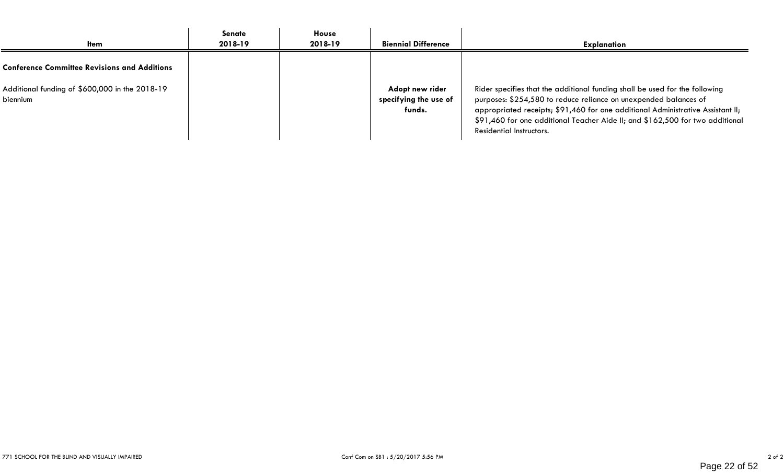| <b>Item</b>                                                | Senate<br>2018-19 | <b>House</b><br>2018-19 | <b>Biennial Difference</b>                         | <b>Explanation</b>                                                                                                                                                                                                                                                                                                                              |
|------------------------------------------------------------|-------------------|-------------------------|----------------------------------------------------|-------------------------------------------------------------------------------------------------------------------------------------------------------------------------------------------------------------------------------------------------------------------------------------------------------------------------------------------------|
| <b>Conference Committee Revisions and Additions</b>        |                   |                         |                                                    |                                                                                                                                                                                                                                                                                                                                                 |
| Additional funding of \$600,000 in the 2018-19<br>biennium |                   |                         | Adopt new rider<br>specifying the use of<br>funds. | Rider specifies that the additional funding shall be used for the following<br>purposes: \$254,580 to reduce reliance on unexpended balances of<br>appropriated receipts; \$91,460 for one additional Administrative Assistant II;<br>\$91,460 for one additional Teacher Aide II; and \$162,500 for two additional<br>Residential Instructors. |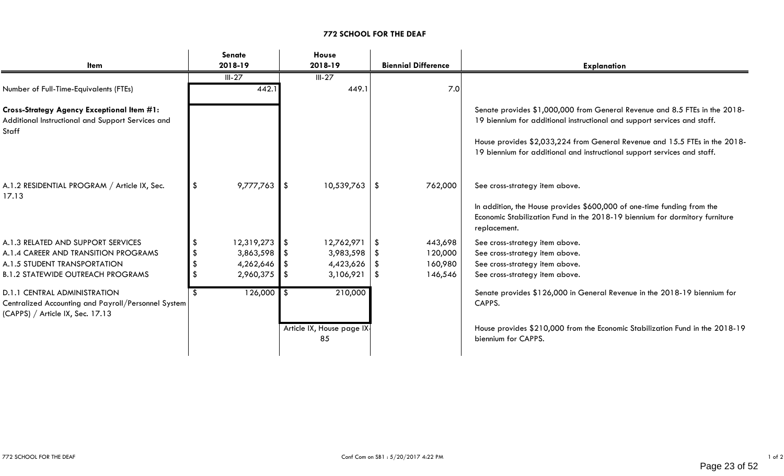### **772 SCHOOL FOR THE DEAF**

|                                                                                                                                |         | Senate          |         | House                           |               |                            |                                                                                                                                                                                                                                                                                                                  |
|--------------------------------------------------------------------------------------------------------------------------------|---------|-----------------|---------|---------------------------------|---------------|----------------------------|------------------------------------------------------------------------------------------------------------------------------------------------------------------------------------------------------------------------------------------------------------------------------------------------------------------|
| Item                                                                                                                           | 2018-19 |                 | 2018-19 |                                 |               | <b>Biennial Difference</b> | <b>Explanation</b>                                                                                                                                                                                                                                                                                               |
|                                                                                                                                |         | $III-27$        |         | $III-27$                        |               |                            |                                                                                                                                                                                                                                                                                                                  |
| Number of Full-Time-Equivalents (FTEs)                                                                                         |         | 442.1           |         | 449.1                           |               | 7.0                        |                                                                                                                                                                                                                                                                                                                  |
| <b>Cross-Strategy Agency Exceptional Item #1:</b><br>Additional Instructional and Support Services and<br>Staff                |         |                 |         |                                 |               |                            | Senate provides \$1,000,000 from General Revenue and 8.5 FTEs in the 2018-<br>19 biennium for additional instructional and support services and staff.<br>House provides \$2,033,224 from General Revenue and 15.5 FTEs in the 2018-<br>19 biennium for additional and instructional support services and staff. |
| A.1.2 RESIDENTIAL PROGRAM / Article IX, Sec.<br>17.13                                                                          |         | $9,777,763$ \$  |         | $10,539,763$   \$               |               | 762,000                    | See cross-strategy item above.<br>In addition, the House provides \$600,000 of one-time funding from the<br>Economic Stabilization Fund in the 2018-19 biennium for dormitory furniture<br>replacement.                                                                                                          |
| A.1.3 RELATED AND SUPPORT SERVICES                                                                                             |         | $12,319,273$ \$ |         | 12,762,971                      | l \$          | 443,698                    | See cross-strategy item above.                                                                                                                                                                                                                                                                                   |
| A.1.4 CAREER AND TRANSITION PROGRAMS                                                                                           |         | $3,863,598$ \$  |         | 3,983,598                       | - \$          | 120,000                    | See cross-strategy item above.                                                                                                                                                                                                                                                                                   |
| A.1.5 STUDENT TRANSPORTATION                                                                                                   |         | 4,262,646       |         | 4,423,626                       | \$            | 160,980                    | See cross-strategy item above.                                                                                                                                                                                                                                                                                   |
| <b>B.1.2 STATEWIDE OUTREACH PROGRAMS</b>                                                                                       |         | 2,960,375 \$    |         | 3,106,921                       | $\sqrt[6]{3}$ | 146,546                    | See cross-strategy item above.                                                                                                                                                                                                                                                                                   |
| <b>D.1.1 CENTRAL ADMINISTRATION</b><br>Centralized Accounting and Payroll/Personnel System<br>(CAPPS) / Article IX, Sec. 17.13 |         | $126,000$ \$    |         | 210,000                         |               |                            | Senate provides \$126,000 in General Revenue in the 2018-19 biennium for<br>CAPPS.                                                                                                                                                                                                                               |
|                                                                                                                                |         |                 |         | Article IX, House page IX<br>85 |               |                            | House provides \$210,000 from the Economic Stabilization Fund in the 2018-19<br>biennium for CAPPS.                                                                                                                                                                                                              |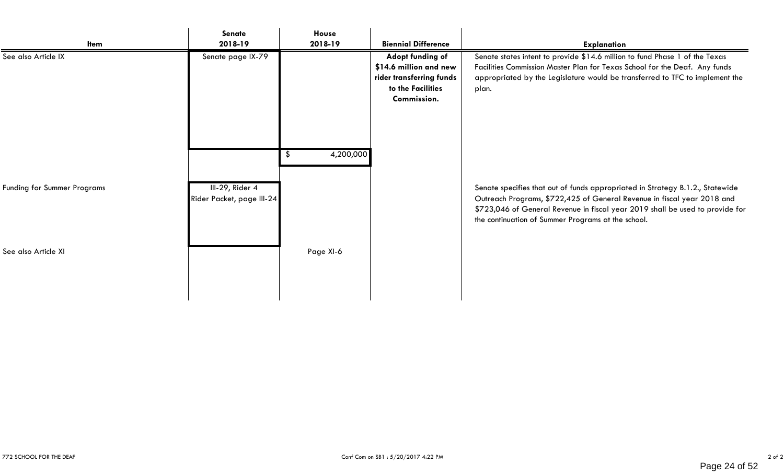| Item                        | <b>Senate</b><br>2018-19                     | House<br>2018-19 | <b>Biennial Difference</b>                                                                                 | <b>Explanation</b>                                                                                                                                                                                                                                 |
|-----------------------------|----------------------------------------------|------------------|------------------------------------------------------------------------------------------------------------|----------------------------------------------------------------------------------------------------------------------------------------------------------------------------------------------------------------------------------------------------|
| See also Article IX         | Senate page IX-79                            |                  | Adopt funding of<br>\$14.6 million and new<br>rider transferring funds<br>to the Facilities<br>Commission. | Senate states intent to provide \$14.6 million to fund Phase 1 of the Texas<br>Facilities Commission Master Plan for Texas School for the Deaf. Any funds<br>appropriated by the Legislature would be transferred to TFC to implement the<br>plan. |
| Funding for Summer Programs | III-29, Rider 4<br>Rider Packet, page III-24 | 4,200,000        |                                                                                                            | Senate specifies that out of funds appropriated in Strategy B.1.2., Statewide<br>Outreach Programs, \$722,425 of General Revenue in fiscal year 2018 and                                                                                           |
| See also Article XI         |                                              | Page XI-6        |                                                                                                            | \$723,046 of General Revenue in fiscal year 2019 shall be used to provide for<br>the continuation of Summer Programs at the school.                                                                                                                |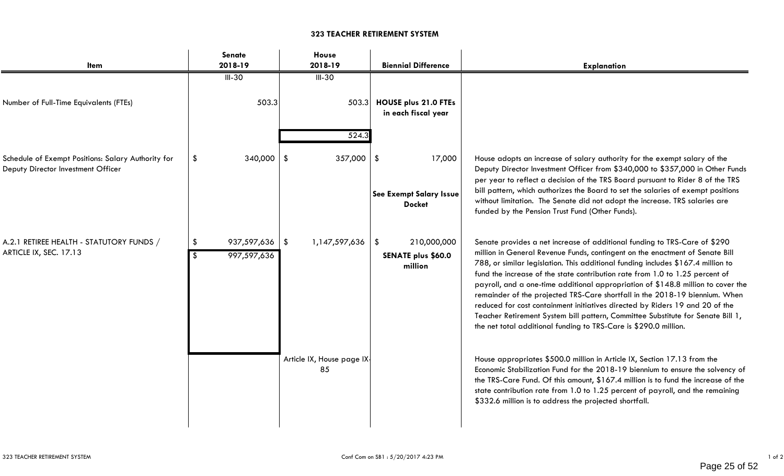### **323 TEACHER RETIREMENT SYSTEM**

| Item                                                                                     | Senate<br>2018-19          | House<br>2018-19                | <b>Biennial Difference</b>                                | <b>Explanation</b>                                                                                                                                                                                                                                                                                                                                                                                                                                                                                                                                                                                                                                                                                                                      |
|------------------------------------------------------------------------------------------|----------------------------|---------------------------------|-----------------------------------------------------------|-----------------------------------------------------------------------------------------------------------------------------------------------------------------------------------------------------------------------------------------------------------------------------------------------------------------------------------------------------------------------------------------------------------------------------------------------------------------------------------------------------------------------------------------------------------------------------------------------------------------------------------------------------------------------------------------------------------------------------------------|
| Number of Full-Time Equivalents (FTEs)                                                   | $III-30$<br>503.3          | $III-30$<br>503.3<br>524.3      | <b>HOUSE plus 21.0 FTEs</b><br>in each fiscal year        |                                                                                                                                                                                                                                                                                                                                                                                                                                                                                                                                                                                                                                                                                                                                         |
| Schedule of Exempt Positions: Salary Authority for<br>Deputy Director Investment Officer | 340,000<br>\$              | $357,000$   \$                  | 17,000<br>See Exempt Salary Issue<br><b>Docket</b>        | House adopts an increase of salary authority for the exempt salary of the<br>Deputy Director Investment Officer from \$340,000 to \$357,000 in Other Funds<br>per year to reflect a decision of the TRS Board pursuant to Rider 8 of the TRS<br>bill pattern, which authorizes the Board to set the salaries of exempt positions<br>without limitation. The Senate did not adopt the increase. TRS salaries are<br>funded by the Pension Trust Fund (Other Funds).                                                                                                                                                                                                                                                                      |
| A.2.1 RETIREE HEALTH - STATUTORY FUNDS /<br>ARTICLE IX, SEC. 17.13                       | 937,597,636<br>997,597,636 | 1,147,597,636<br>1 S            | 210,000,000<br>\$<br><b>SENATE plus \$60.0</b><br>million | Senate provides a net increase of additional funding to TRS-Care of \$290<br>million in General Revenue Funds, contingent on the enactment of Senate Bill<br>788, or similar legislation. This additional funding includes \$167.4 million to<br>fund the increase of the state contribution rate from 1.0 to 1.25 percent of<br>payroll, and a one-time additional appropriation of \$148.8 million to cover the<br>remainder of the projected TRS-Care shortfall in the 2018-19 biennium. When<br>reduced for cost containment initiatives directed by Riders 19 and 20 of the<br>Teacher Retirement System bill pattern, Committee Substitute for Senate Bill 1,<br>the net total additional funding to TRS-Care is \$290.0 million. |
|                                                                                          |                            | Article IX, House page IX<br>85 |                                                           | House appropriates \$500.0 million in Article IX, Section 17.13 from the<br>Economic Stabilization Fund for the 2018-19 biennium to ensure the solvency of<br>the TRS-Care Fund. Of this amount, \$167.4 million is to fund the increase of the<br>state contribution rate from 1.0 to 1.25 percent of payroll, and the remaining<br>\$332.6 million is to address the projected shortfall.                                                                                                                                                                                                                                                                                                                                             |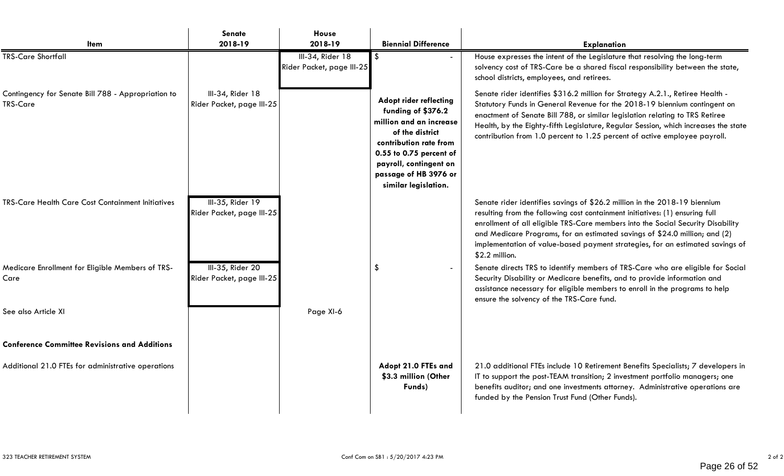| <b>Item</b>                                                           | Senate<br>2018-19                             | House<br>2018-19                              | <b>Biennial Difference</b>                                                                                                                                                                                                        | <b>Explanation</b>                                                                                                                                                                                                                                                                                                                                                                                                            |
|-----------------------------------------------------------------------|-----------------------------------------------|-----------------------------------------------|-----------------------------------------------------------------------------------------------------------------------------------------------------------------------------------------------------------------------------------|-------------------------------------------------------------------------------------------------------------------------------------------------------------------------------------------------------------------------------------------------------------------------------------------------------------------------------------------------------------------------------------------------------------------------------|
| <b>TRS-Care Shortfall</b>                                             |                                               | III-34, Rider 18<br>Rider Packet, page III-25 | -\$                                                                                                                                                                                                                               | House expresses the intent of the Legislature that resolving the long-term<br>solvency cost of TRS-Care be a shared fiscal responsibility between the state,<br>school districts, employees, and retirees.                                                                                                                                                                                                                    |
| Contingency for Senate Bill 788 - Appropriation to<br><b>TRS-Care</b> | III-34, Rider 18<br>Rider Packet, page III-25 |                                               | <b>Adopt rider reflecting</b><br>funding of \$376.2<br>million and an increase<br>of the district<br>contribution rate from<br>0.55 to 0.75 percent of<br>payroll, contingent on<br>passage of HB 3976 or<br>similar legislation. | Senate rider identifies \$316.2 million for Strategy A.2.1., Retiree Health -<br>Statutory Funds in General Revenue for the 2018-19 biennium contingent on<br>enactment of Senate Bill 788, or similar legislation relating to TRS Retiree<br>Health, by the Eighty-fifth Legislature, Regular Session, which increases the state<br>contribution from 1.0 percent to 1.25 percent of active employee payroll.                |
| <b>TRS-Care Health Care Cost Containment Initiatives</b>              | III-35, Rider 19<br>Rider Packet, page III-25 |                                               |                                                                                                                                                                                                                                   | Senate rider identifies savings of \$26.2 million in the 2018-19 biennium<br>resulting from the following cost containment initiatives: (1) ensuring full<br>enrollment of all eligible TRS-Care members into the Social Security Disability<br>and Medicare Programs, for an estimated savings of \$24.0 million; and (2)<br>implementation of value-based payment strategies, for an estimated savings of<br>\$2.2 million. |
| Medicare Enrollment for Eligible Members of TRS-<br>Care              | III-35, Rider 20<br>Rider Packet, page III-25 |                                               | $\boldsymbol{\mathsf{S}}$                                                                                                                                                                                                         | Senate directs TRS to identify members of TRS-Care who are eligible for Social<br>Security Disability or Medicare benefits, and to provide information and<br>assistance necessary for eligible members to enroll in the programs to help<br>ensure the solvency of the TRS-Care fund.                                                                                                                                        |
| See also Article XI                                                   |                                               | Page XI-6                                     |                                                                                                                                                                                                                                   |                                                                                                                                                                                                                                                                                                                                                                                                                               |
| <b>Conference Committee Revisions and Additions</b>                   |                                               |                                               |                                                                                                                                                                                                                                   |                                                                                                                                                                                                                                                                                                                                                                                                                               |
| Additional 21.0 FTEs for administrative operations                    |                                               |                                               | Adopt 21.0 FTEs and<br>\$3.3 million (Other<br>Funds)                                                                                                                                                                             | 21.0 additional FTEs include 10 Retirement Benefits Specialists; 7 developers in<br>IT to support the post-TEAM transition; 2 investment portfolio managers; one<br>benefits auditor; and one investments attorney. Administrative operations are<br>funded by the Pension Trust Fund (Other Funds).                                                                                                                          |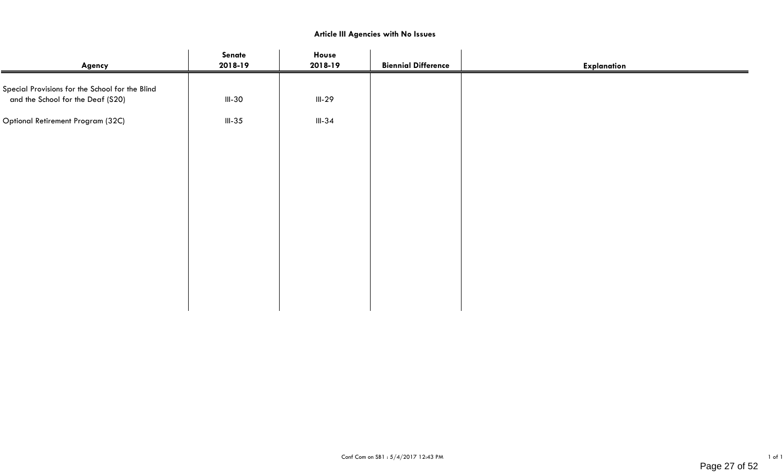### **Article III Agencies with No Issues**

| Agency                                                                               | Senate<br>2018-19 | House<br>2018-19 | <b>Biennial Difference</b> | <b>Explanation</b> |
|--------------------------------------------------------------------------------------|-------------------|------------------|----------------------------|--------------------|
| Special Provisions for the School for the Blind<br>and the School for the Deaf (S20) | $III-30$          | $III-29$         |                            |                    |
| Optional Retirement Program (32C)                                                    | $III-35$          | $III-34$         |                            |                    |
|                                                                                      |                   |                  |                            |                    |
|                                                                                      |                   |                  |                            |                    |
|                                                                                      |                   |                  |                            |                    |
|                                                                                      |                   |                  |                            |                    |
|                                                                                      |                   |                  |                            |                    |
|                                                                                      |                   |                  |                            |                    |
|                                                                                      |                   |                  |                            |                    |
|                                                                                      |                   |                  |                            |                    |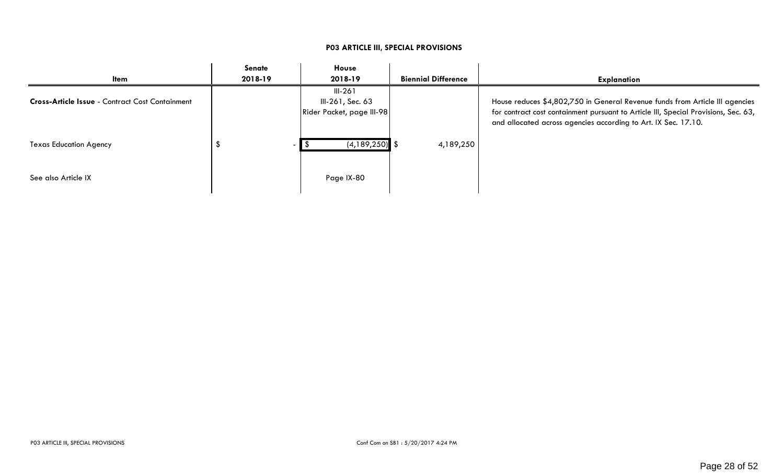| ltem                                                   | Senate<br>2018-19 | House<br>2018-19                                           | <b>Biennial Difference</b> | <b>Explanation</b>                                                                                                                                                                                                                    |
|--------------------------------------------------------|-------------------|------------------------------------------------------------|----------------------------|---------------------------------------------------------------------------------------------------------------------------------------------------------------------------------------------------------------------------------------|
| <b>Cross-Article Issue - Contract Cost Containment</b> |                   | $III-261$<br>III-261, Sec. 63<br>Rider Packet, page III-98 |                            | House reduces \$4,802,750 in General Revenue funds from Article III agencies<br>for contract cost containment pursuant to Article III, Special Provisions, Sec. 63,<br>and allocated across agencies according to Art. IX Sec. 17.10. |
| <b>Texas Education Agency</b>                          |                   | $(4, 189, 250)$ \$                                         | 4,189,250                  |                                                                                                                                                                                                                                       |
| See also Article IX                                    |                   | Page IX-80                                                 |                            |                                                                                                                                                                                                                                       |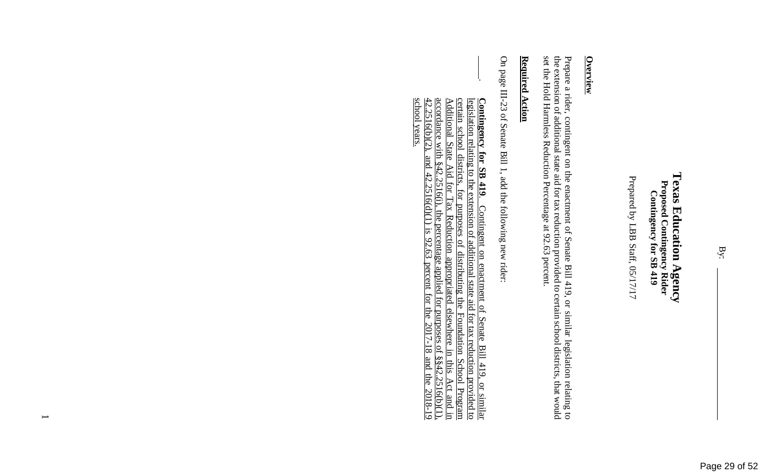Prepared by LBB Staff, 05/17/17 Prepared by LBB Staff, 05/17/17

## **Overview**

set the Hold Harmless Reduction Percentage at 92.63 percent. the extension of additional state aid for tax reduction provided to certain school districts, that would Prepare a rider, contingent on the enactment of Senate Bill 419, or similar legislation relating to set the Hold Harmless Reduction Percentage at 92.63 percent. the extension of additional state aid for tax reduction provided to certain school districts, that would Prepare a rider, contingent on the enactment of Sen ate Bill 419, or similar legislation relating to

### **Required Action Required Action**

On page III-23 of Senate Bill 1, add the following On page III-23 of Senate Bill 1, add the following new rider:

 $\vert$  $\frac{47}{5}$ accordance with §42.2516(i), the percentage certain school districts, for purposes of distributing the Foundation School Program school years. school years. 42.2516(b)(2), and 42.2516(d)(1) is 92.63 percent for the 2017-18 and the 2018-19 accordance with  $§42.2516(i)$ , the percentage applied for purposes of  $§§42.2516(b)(1)$ , <u>Additional</u> Additional State Aid for Tax Reduction appropriated elsewhere in this Act and in certain school districts, for purposes of distributing the Foundation School Program legislation relating to the extension of additional state aid for tax reduction provided to legislation relating to the extension of additional state aid for tax reduction provided to Contingency for SB 419. **Contingency for SB 419**. Contingent on enactment of Senate Bill 419, or similar 2516(b)(2). **State** and 42.2516(d)(1) is Aid for  $\mathrm{Tax}$ Contingent on enactment of Senate Bill 419, or similar Reduction appropriated  $.92.63$ percent for the applied for purposes of  $$842.2516(b)(1)$ .<br>
ercent for the 2017-18 and the 2018-19 elsewhere in this Act 2018-19 and E.

 $\overline{\phantom{0}}$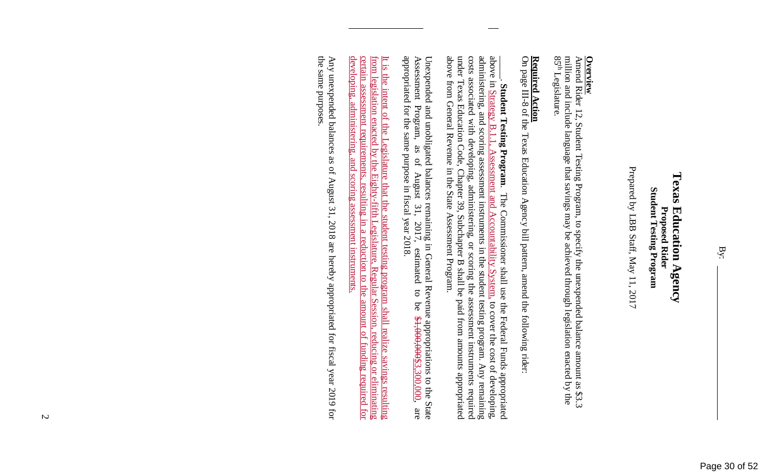### Texas Education Agency **Texas Education Agency Student Testing Program Student Testing Program Proposed Rider Proposed Rider**

Prepared by LBB Staff, May 11, 2017 Prepared by LBB Staff, May 11, 2017

Amend Rider 12, Student Testing Program, to specify **Overview**<br>Amend Rider 12, Student Testing Program, to specify the unexpended balance amount as \$3.3<br>Amend Rider 12, Student Testing Program, to specify the unexpended balance amount as \$3.3 the unexpended balance amount as \$3.3 million and include language that savings may be achieved through legislation enacted by the  $85<sup>th</sup>$ Legislature.

## **Required Action**

**Required Action**<br>On page III-8 of the Texas Education Agency bill pattern, amend the following rider: On page III-8 of the Texas Education Agency bill pa ttern, amend the following rider:

under Texas Education Code, Chapter 39, Subchapter B shall b above from General Revenue in the State Assessment Program. costs associated with developing, administering, or scoring the assessment instruments required administering, and scoring assessment instruments in the student testing program. Any remaining above in Strategy B.1.1 above from General Revenue in the State Assessment Program. under Texas Education Code, Chapter 39, Subchapter B shall be paid from amounts appropriated costs associated with developing, administering, or scoring the assessment instruments required administering, and scoring assessment instruments in the student testing program. Any remaining above in Strategy B.1.1, Assessment and Accountability System, to cover the cost of developing, \_\_\_\_\_. **Student Testing Program**. The Commissioner shall use the Federal Funds appropriated Student Testing Program. Assessment and Accountability System, to cover the cost of developing, Chapter 39, Subchapter B shall be paid from amounts appropriated The Commissioner shall use the Federal Funds appropriated

Unexpended and unobligated balances remaining in General Revenue appropriations to the State Assessment Program, as of August 31, 2017, estimated to be  $$4,000,000,000,$  are appropriated for the same purpose in fiscal yea appropriated for the same purpose in fiscal year 2018. Assessment Program, as of August 31, 2017, estimated to be  $$1,000,000,000$ , are Unexpended and unobligated balances remaining in General Revenue appropriations to the State

developing, administering, and scoring assessment instruments. developing, administering, and scoring assessment instruments. certain assessment requirements, resulting in a reduction to the amount of funding required for certain assessment requirements, resulting in a reduction to the amount of funding required for from legislation enacted by the Eighty-fifth Legislature, Regular Session, reducing or eliminating from legislation enacted by the Eighty-fifth Legislature, Regular Session, reducing or eliminating It is the intent of the Legislature that the student testing program shall realize savings resulting It is the intent of the Legislature that the student testing program shall realize savings resulting

the same purposes the same purposes. Any unexpended balances as of August 31, 2018 are hereby appropriated for fiscal year 2019 for Any unexpended balances as of August 31, 2018 are hereby appropriated for fiscal year 2019 for

 $\overline{z}$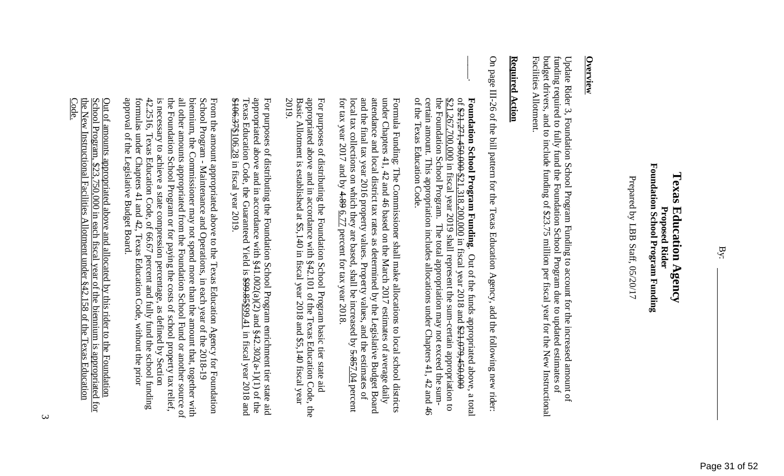### Foundation School Program Funding **Foundation School Program Funding Texas Education Agency Texas Education Agency Proposed Rider Proposed Rider**

Prepared by LBB Staff, 05/20/17 Prepared by LBB Staff, 05/20/17

## **Overview**

budget drivers, and to include funding of \$23.75 million per fiscal year for the New Instructional funding required to fully fund the Foundation School Program due to updated estimates of Update Rider 3, Foundation School Program Funding to account for the increased amount of Facilities Allotment. Facilities Allotment. budget drivers, and to include funding of \$23.75 million per fiscal year for the New Instructional funding required to fully fund the Foundation School Program due to updated estimates of Update Rider 3, Foundation School Program Funding t o account for the increased amount of

### Required **Required Action**  Action

 $\vert$ 

On page III-26 of the bill pattern for the Texas Education Agency, add the following new rider: On page III-26 of the bill pattern for the Texas Ed ucation Agency, add the following new rider:

of the Texas Education Code. the Foundation School Program. The total appropriation may not exceed the sum-certain amount. This appropriation includes allocations under Chapters 41, 42 and 46 certain amount. This appropriation includes allocations un \$21,267,700,000 in fiscal year 2019 shall represent the sum-certain appropriation to Foundation School Program Funding. Out of the funds appropriated above, 0f \$21,271,450,000 \$21,318,200,000 in fiscal year 2018 and \$21,079,450,000 of the Texas Education Code. certain amount. This appropriation includes allocations under Chapters 41, 42 and 46 the Foundation School Program. The total appropriation may not exceed the sum-\$21,267,700,000 in fiscal year 2019 shall represent the sum-certain appropriation to of \$21,271,450,000 \$21,318,200,000 in fiscal year 2018 and \$21,079,450,000 **Foundation School Program Funding**. Out of the funds appropriated above, a total Out of the funds appropriated above,  $, a total$ 

 Formula Funding: The Commissioner shall make allocations to local school districts for tax year 2017 and by  $4.89 \underline{6.77}$  percent for tax year 2018. local tax collections on which they are based, shall be increased by  $5.857.04$  percent and the final tax year 2016 property values. Property values, and the estimates of attendance and local district tax rates as determined by the Legislative Budget Board under Chapters 41, 42 and 46 based on the March 2017 estimates of average daily Formula Funding: The Commissioner shall make allocations to local school districts for tax year 2017 and by 4.89 local tax collections on which they are based, shall be increased by 5.857.04 percent and the final tax year 2016 property values. Property values, and the estimates of attendance and local district tax rates as determined by the Legislative Budget Board under Chapters 41, 42 and 46 based on the March 2017 estimates of average daily 6.77 percent for tax year 2018.

 For purposes of distributing the Foundation School Program basic tier state aid 2019. Basic Allotment is established at \$5,140 in fiscal year 2018 and \$5,140 fiscal year appropriated above and in accordance with §42.101 of the Texas Education Code, the For purposes of distributing the Foundation School Program basic tier state aid Basic Allotment is established at \$5,140 in fiscal year 2018 and \$5,140 fiscal year appropriated above and in accordance with §42.101 of the Texas Education Code, the

 For purposes of distributing the Foundation School Program enrichment tier state aid \$106.37\$106.28 in fiscal year 2019 For purposes of distributing the Foundation School Program enrichment tier state aid appropriated above and in accordance with  $$41.002(a)(2)$  and  $$42.302(a-1)(1)$  of the Texas Education Code, the Guaranteed Yield is  $$99.85$ \$106.37\$106.28 in fiscal year 2019. Texas Education Code, the Guaranteed Yield is \$99.85\$99.41 in fiscal year 2018 and appropriated above and in accordance with  $§41.002(a)(2)$  and  $§42.302(a-1)(1)$  of the

 From the amount appropriated above to the Texas Education Agency for Foundation approval of the Legislative Budget Board. formulas under Chapters 41 and 42, Texas Education Code, without the prior 42.2516, Texas Education Code, of 66.67 percent and fully fund the school funding is necessary to achieve a state compression percentage, as defined by Section the Foundation School Program or for paying the costs of school property tax relief, all other amounts appropriated from the Foundation School Fund or another source of biennium, the Commissioner may not spend more than the amount that, together with School Program - Maintenance and Operations, in each year of the 2018-19 From the amount appropriated above to the Texas Education Agency for Foundation approval of the Legislative Budget Board. formulas under Chapters 41 and 42, Texas Education Code, without the prior 42.2516, Texas Education Code, of 66.67 percent and fully fund the school funding is necessary to achieve a state compression percentage, as defined by Section the Foundation School Program or for paying the costs of school property tax relief, all other amounts appropriated from the Foundation School Fund or another source of biennium, the Commissioner may not spend more than the amount that, together with School Program - Maintenance and Operations, in each year of the 2018-19

 Out of amounts appropriated above and allocated by this rider to the Foundation Code. <u>the New Instructional Facilities Allotment under §42.158 of the Texas Education</u> School Program, \$23,750,000 in each fiscal year of the biennium is appropriated for Out of amounts appropriated above and allocated by this rider to the Foundation the New Instructional Facilities Allotment under §42.158 of the Texas Education School Program, \$23,750,000 in each fiscal year of the biennium is appropriated for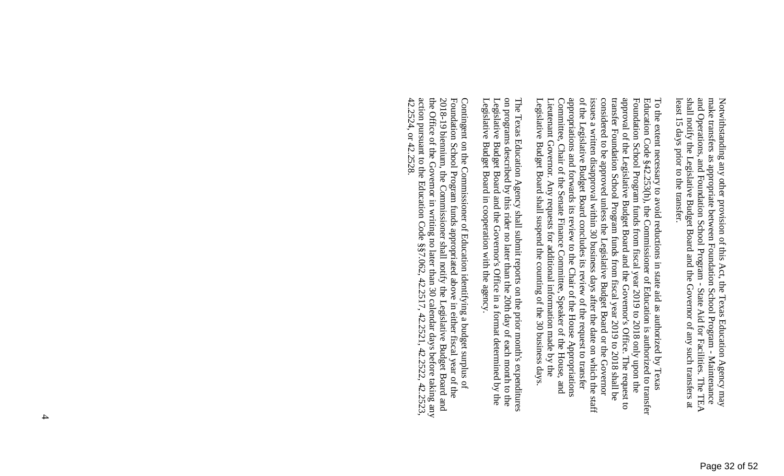To the extent necessary to avoid reductions in state aid as authorized by Texas Legislative Budget Board shall suspend the counting of the 30 business days Lieutenant Governor. Any requests for additional information made by the Committee, Chair of the Senate Finance Committee, Speaker of the House, and appropriations and forwards its review to the Chair of the House Appropriations of the Legislative Budget Board concludes its review of the request to transfer issues a written disapproval within 30 business days after the date on which the staff considered to be approved unless the Legislative Budget Board or the Governor transfer Foundation School Program funds from fiscal year 2019 to 2018 shall be approval of the Legislative Budget Board and the Governor's Office. Foundation School Program funds from fiscal year 2019 to 2018 only upon the Education Code §42.253(h), the Commissioner of Education is authorized to transfer Legislative Budget Board shall suspend the counting of the 30 business days. Lieutenant Governor. Any requests for additional information made by the Committee, Chair of the Senate Finance Committee, Speaker of the House, and appropriations and forwards its review to the Chair of the House Appropriations of the Legislative Budget Board concludes its review of the request to transfer issues a written disapproval within 30 business days after the date on which the staff considered to be approved unless the Legislative Budget Board or the Governor transfer Foundation School Program funds from fiscal year 2019 to 2018 shall be approval of the Legislative Budget Board and the Governor's Office. The request to Foundation School Program funds from fiscal year 2019 to 2018 only upon the Education Code §42.253(h), the Commissioner of Education is authorized to transfer To the extent necessary to avoid reductions in state aid as authorized by Texas The request to

 The Texas Education Agency shall submit reports on the prior month's expenditures Legislative Budget Board in cooperation with the agency. The Texas Education Agency shall submit reports on the prior month's expenditures<br>on programs described by this rider no later than the 20th day of each month to the<br>Legislative Budget Board and the Governor's Office in a Legislative Budget Board in cooperation with the agency. Legislative Budget Board and the Governor's Office in a format determined by the on programs described by this rider no later than the 20th day of each month to the

 Contingent on the Commissioner of Education identifying a budget surplus of 42.2524, or 42.2528. action pursuant to the Education Code §§7.062, 42.2517, 42.2521, 42.2522, 42.2523, the Office of the Governor in writing no later than 30 calendar days before taking any 2018-19 biennium, the Commissioner shall notify the Legislative Budget Board and Foundation School Program funds appropriated above in either fiscal year of the 42.2524, or 42.2528. action pursuant to the Education Code §§7.062, 42.2517, 42.2521, 42.2522, 42.2523, the Office of the Governor in writing no later than 30 calendar days before taking any 2018-19 biennium, the Commissioner shall notify the Legislative Budget Board and Foundation School Program funds appropriated above in either fiscal year of the Contingent on the Commissioner of Education identifying a budget surplus of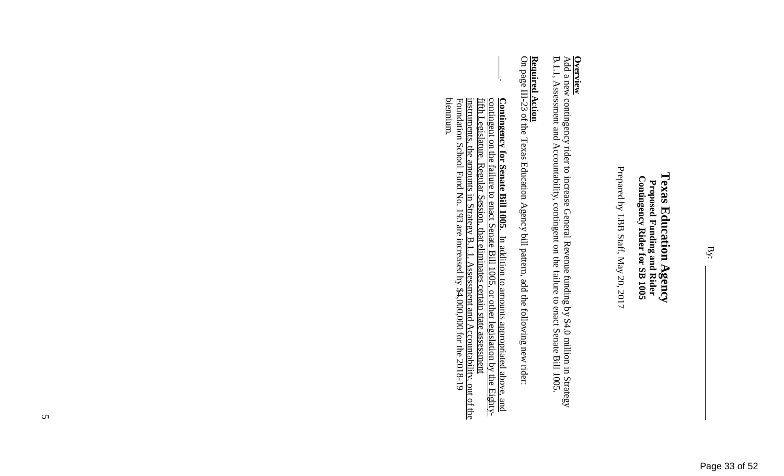Prepared by LBB Staff, May 20, 2017 Prepared by LBB Staff, May 20, 2017

**Overview**<br>Add a new contingency rider to increase General Revenue funding by \$4.0 million in Strategy B.1.1, Assessment and Accountability, contingent on the failure to enact Senate Bill 1005. B.1.1, Assessment and Accountability, contingent on the failure to enact Senate Bill 1005. Add a new contingency rider to increase General Rev enue funding by \$4.0 million in Strategy

# **Required Action**

**Required Action**<br>On page III-23 of the Texas Education Agency bill pattern, add the following new rider: On page III-23 of the Texas Education Agency bill p attern, add the following new rider:

 $\vert$ <u>fifth Legislature, Regular Session, that eliminates certain state assessment</u><br>instruments, the amounts in Strategy B.1.1, Assessment and Accountability, out of the<br><u>Foundation School Fund No. 193 are increased by \$4,000,0</u> **Contingency for Senate Bill 1005**. In addition to amounts appropriated above, and contingent on the failure to enact Senate Bill 1005, or other legislation by the Eighty-Foundation School Fund No. 193 are increased by \$4,000,000 for the 2018-19 instruments, the amounts in Strategy B.1.1, Assessment and Accountability, out of the fifth Legislature, Regular Session, that eliminates certain state assessment contingent on the failure to enact Senate Bill 1005, or other legislation by the Eighty-**Contingency for Senate Bill 1005**. In addition to amounts appropriated above, and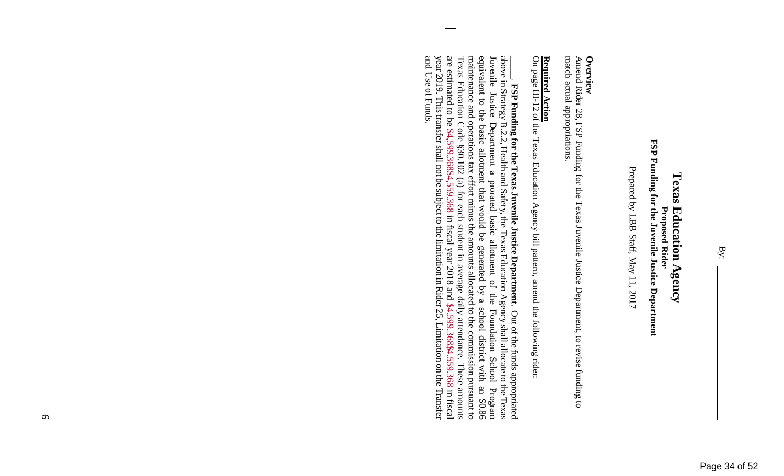### FSP Funding for the Juvenile Justice Department **FSP Funding for the Juvenile Justice Department Texas Education Agency Texas Education Agency Proposed Rider Proposed Rider**

Prepared by LBB Staff, May 11, 2017 Prepared by LBB Staff, May 11, 2017

**Overview**<br>Amend Rider 28, FSP Funding for the Texas Juvenile Justice Department, to revise funding to match actual appropriations. match actual appropriations. Amend Rider 28, FSP Funding for the Texas Juvenile Justice Department, to revise funding to

# **Required Action**

**Required Action**<br>On page III-12 of the Texas Education Agency bill pattern, amend the following rider: On page III-12 of the Texas Education Agency bill p attern, amend the following rider:

Texas Education Code §30.102 (a) for each student in average daily attendance. These amounts<br>are estimated to be <del>\$4,599,368<u>84</u></del>,559,368 in fiscal year 2018 and <del>\$4,599,36884</del>.559.368 in fiscal<br>year 2019. This transfer s and Use of Funds. maintenance and operations tax effort minus the amounts allocated to the commission pursuant to equivalent to the basic allotment that would be generated by a school district with an \$0.86 Juvenile Justice above in Strategy B.2.2, Health and Safety, the Texas Education Agency shall allocate to the Texas and Use of Funds. year 2019. This transfer shall not be subject to the limitation in Rider 25, Limitation on the Transfer are estimated to be  $$4,599,368,24,559,368$  in fiscal year 2018 and  $$4,599,368,4.559,368$  in fiscal Texas Education Code §30.102 (a) for each student in average daily attendance. These amounts maintenance and operations tax effort minus the amounts allocated to the commission pursuant to equivalent to the basic allotment that would be generated by a school district with an \$0.86 Juvenile Justice Department a prorated basic allotment of the Foundation School Program above in Strategy B.2.2, Health and Safety, the Texas Education Agency shall allocate to the Texas \_\_\_\_\_. **FSP Funding for the Texas Juvenile Justice Department**. Out of the funds appropriated FSP Funding for the Texas Juvenile Justice Department. Out of the funds appropriated Department a prorated basic allotment of the Foundation School Program

 $\sigma$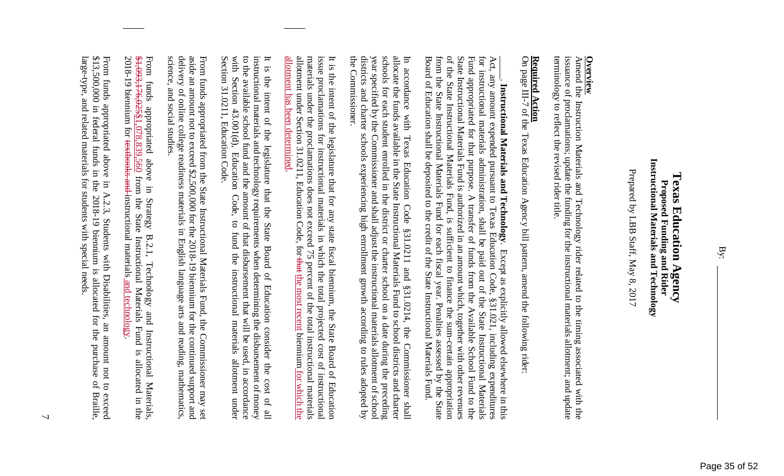### Instructional Materials and Technology **Instructional Materials and Technology**  Texas Education Agency **Texas Education Agency**  Proposed Funding and Rider **Proposed Funding and Rider**

Prepared by LBB Staff, May 8, 2017 Prepared by LBB Staff, May 8, 2017

**Overview**<br>Amend the Instruction Materials and Technology rider related to the timing associated with the<br>Amend the Instruction Materials and Technology rider related to the timing associated with the terminology to reflect the revised rider title issuance of proclamations; update the funding for the instructional materials allotment; and update terminology to reflect the revised rider title. issuance of proclamations; update the funding for the instructional materials allotment; and update Amend the Instruction Materials and Technology ride r related to the timing associated with the

# **Required Action**

**Required Action**<br>On page III-7 of the Texas Education Agency bill pattern, amend the following rider: On page III-7 of the Texas Education Agency bill pa ttern, amend the following rider:

Board of Education shall be deposited to the credit of the State Instructional Materials Fund from the State Instructional Materials Fund for each fiscal year. Penalties assessed by the State of the State Instructional Materials Fund, is sufficient to finance the sum-certain appropriation State Instructional Materials Fund is authorized in an amount which, together with other revenues for instructional materials administration, shall be paid out of the State Instructional Materials Board of Education shall be deposited to the credit of the State Instructional Materials Fund. from the State Instructional Materials Fund for each fiscal year. Penalties assessed by the State of the State Instructional Materials Fund, is sufficient to finance the sum-certain appropriation State Instructional Materials Fund is authorized in an amount which, together with other revenues Fund appropriated for that purpose. Fund appropriated for that purpose. A transfer of funds from the Available School Fund to the for instructional materials administration, shall be paid out of the State Instructional Materials Act, any amount expended pursuant to Texas Education Code, Act, any amount expended pursuant to Texas Education Code, §31.021, including expenditures \_\_\_\_\_. **Instructional Materials and Technology**. Except as explicitly allowed elsewhere in this Instructional Materials and Technology. Except as explicitly allowed elsewhere in this A transfer of funds from the Available School Fund to the §31.021, including expenditures

the Commissioner. districts and charter schools experiencing high enrollment growth according to rules adopted by year specified by the Commissioner and shall adjust the instructional materials allotment of school schools for each student enrolled in the district or charter school on a date during the preceding allocate the funds available in the State Instructional Materials Fund to school districts and charter In accordance with Texas the Commissioner. districts and charter schools experiencing high enrollment growth according to rules adopted by year specified by the Commissioner and shall adjust the instructional materials allotment of school schools for each student enrolled in the district or charter school on a date during the preceding allocate the funds available in the State Instructional Materials Fund to school districts and charter In accordance with Texas Education Code §31.0211 and §31.0214, the Commissioner shall Education Code §31.0211 and §31.0214, the Commissioner shall

allotment under Section 31.0211, Education Code, for that the most recent biennium for which the <u>allotment has been determined.</u> materials under the proclamations does not exceed 75 percent of the total instructional materials issue proclamations for instructional materials in which the total projected cost of instructional It is the intent of the legislature that for any state fiscal biennium, the State Board of Education allotment has been determined. allotment under Section 31.0211, Education Code, for that materials under the proclamations does not exceed 75 percent of the total instructional materials issue proclamations for instructional materials in which the total projected cost of instructional It is the intent of the legislature that for any st ate fiscal biennium, the State Board of Education the most recent biennium for which the

instructional materials and technology requirements when determining the disbursement of money to the available school fund and the amount of that disbursement that will be used, in accordance with Section 43.001(d), Educ Section 31.0211, Education Code. It is the intent of the legislature that the State Board of Education consider the cost of all Section 31.0211, Education Code. with Section 43.001(d), Education Code, to fund the instructional materials allotment under to the available school fund and the amount of that disbursement that will be used, in accordance instructional materials and technology requirements when determining the disbursement of money It is the intent of the legislature that the State Board of Education consider the cost of all

science, and social studies. delivery of online college readiness materials in English language arts and reading, mathematics, aside an amount not to exceed \$2,500,000 for the 2018-19 biennium for the continued support and science, and social studies. delivery of online college readiness materials in English language arts and reading, mathematics, aside an amount not to exceed \$2,500,000 for the 2018-19 biennium for the continued support and From funds appropriated from the State Instructional Materials Fund, the Commissioner may set From funds appropriated from the State Instructiona l Materials Fund, the Commissioner may set

2018-19 biennium for <del>textbooks and</del>-instructional materials and technology.  $2.1,093,176,02521,078,839,560$  from the State Instructional Materials Fund is allocated in the From funds appropriated above in Strategy B.2.1, Technology and Instructional Materials, 2018-19 biennium for textbooks and instructional materials and technology. \$1,093,176,025\$1,078,839,560 from the State Instructional Materials Fund is allocated in the From funds appropriated above in Strategy B.2.1, Te chnology and Instructional Materials,

large-type, and related materials for students with special needs \$13,500,000 in federal funds in the 2018-19 biennium is allocated for the purchase of Braille, From funds appropriated above in A.2.3, Students with Disabilities, an amount not to large-type, and related materials for students with special needs. \$13,500,000 in federal funds in the 2018-19 biennium is allocated for the purchase of Braille, From funds appropriated above in A.2.3, Students with Disabilities, an amount not to exceed exceed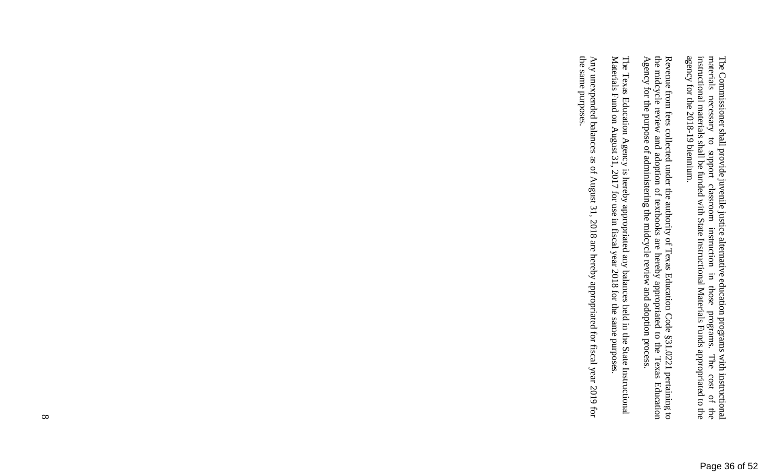The Commissioner shall provide juvenile justice alternative education programs with instructional materials necessary to support classroom instruction in those programs. The cost of the instructional materials shall be fun agency for the 2018-19 biennium. instructional materials shall be funded with State Instructional Materials Funds appropriated to the materials necessary to support classroom instruction in those programs. The cost of the The Commissioner shall provide juvenile justice alternative education programs with instructional

the midcycle review and adoption of textbooks are hereby appropriated to the Texas Education Agency for the purpose of administering the midcycle review and adoption process. Revenue from fees collected under the authority of Texas Education Code §31.0221 pertaining to Agency for the purpose of administering the midcycle review and adoption process. the midcycle review and adoption of textbooks are hereby appropriated to the Texas Education Revenue from fees collected under the authority of Texas Education Code §31.0221 pertaining to

The Texas Education Agency is hereby appropriated any balances held in the State Instructional Materials Fund on August 31, 2017 for use in fiscal year 2018 for the same purposes. Materials Fund on August 31, 2017 for use in fiscal year 2018 for the same purposes. The Texas Education Agency is hereby appropriated any balances held in the State Instructional

the same purposes. Any unexpended balances as of August 31, 2018 are hereby appropriated for fiscal year 2019 for the same purposes. Any unexpended balances as of August 31, 2018 are hereby appropriated for fiscal year 2019 for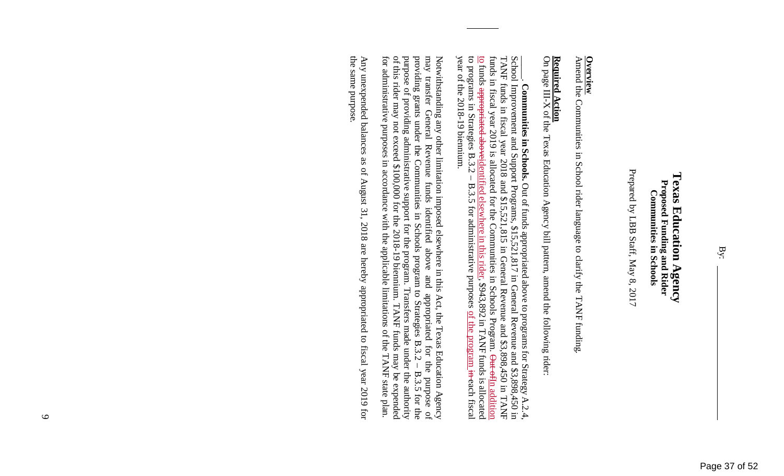### Texas Education Agency **Texas Education Agency**  Proposed Funding and Rider<br>Communities in Schools **Proposed Funding and Rider Communities in Schools**

Prepared by LBB Staff, May 8, 2017 Prepared by LBB Staff, May 8, 2017

Amend the Communities in School rider language to c **Overview**<br>Amend the Communities in School rider language to clarify the TANF funding. larify the TANF funding.

## **Required Action**

**Required Action**<br>On page III-X of the Texas Education Agency bill pattern, amend the following rider: On page III-X of the Texas Education Agency bill pa ttern, amend the following rider:

to programs in Strategies B.3.2 – year of the  $2018-19$  biennium. <u>to</u> funds appropriated aboveidentified elsewhere in this rider, \$943,892 in TANF funds is allocated funds in fiscal year 2019 is allocated for the Communities in Schools Program. Out of In addition TANF funds in fiscal year 2018 and \$15,521,815 in General Revenue and \$3,898,450 in TANF School Improvement and Support Programs, \$15,521,817 in General Revenue and \$3,898,450 in year of the 2018-19 biennium. to programs in Strategies B.3.2 – B.3.5 for administrative purposes of the program in each fiscal to funds appropriated aboveidentified elsewhere in this rider, \$943,892 in TANF funds is allocated funds in fiscal year 2019 is allocated for the Communities in Schools Program. Out ofIn addition TANF funds in fiscal year 2018 and \$15,521,815 in General Revenue and \$3,898,450 in TANF School Improvement and Support Programs, \$15,521,817 in General Revenue and \$3,898,450 in \_\_\_\_\_. **Communities in Schools.** Out of funds appropriated above to programs for Strategy A.2.4, Communities in Schools. Out of funds appropriated above to programs for Strategy A.2.4. B.3.5 for administrative purposes of the program in-each fiscal

purpose of providing administrative support for the program. Transfers made under the authority of this rider may not exceed \$100,000 for the 2018-19 biennium. TANF funds may be expended providing grants under the Communities in Schools program to Strategies B.3.2. Notwithstanding any other limitation imposed elsewhere in this Act, the Texas Education Agency may transfer General Revenue funds identified above and appropriated for the purpose of may transfer General Revenue funds iden for administrative purposes in accordance with the applicable limitations of the TANF state plan. for administrative purposes in accordance with the applicable limitations of the TANF state plan. of this rider may not exceed \$100,000 for the 2018-19 biennium. TANF funds may be expended purpose of providing administrative support for the program. Transfers made under the authority providing grants under the Communities in Schools program to Strategies B.3.2 – B.3.5 for the may transfer General Revenue funds identified above and appropriated for the purpose of Notwithstanding any other limitation imposed elsewh ere in this Act, the Texas Education Agency  $- B.3.5$  for the  $\Omega$ 

the same purpose Any unexpended balances as of August 31, 2018 are hereby appropriated to fiscal year 2019 for the same purpose. Any unexpended balances as of August 31, 2018 are hereby appropriated to fiscal year 2019 for

By: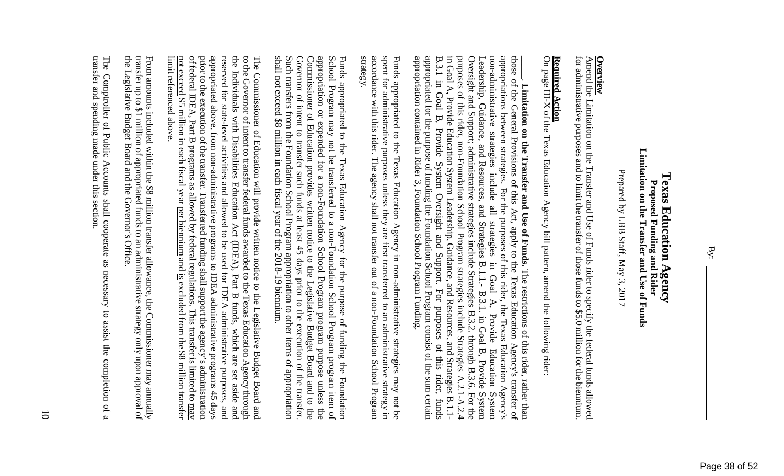Page 38 of 52

### Limitation on the Transfer and Use of Funds **Limitation on the Transfer and Use of Funds**  Texas Education Agency **Texas Education Agency**  Proposed Funding and Rider **Proposed Funding and Rider**

Prepared by LBB Staff, May 3, 2017 Prepared by LBB Staff, May 3, 2017

for administrative purposes and to limit the transfer of those funds to \$5.0 million for the biennium. **Overview**<br>Amend the Limitation on the Transfer and Use of Funds rider to specify the federal funds allowed<br>Amend the Limitation on the Transfer and Use of Funds rider to specify the federal funds allowed for administrative purposes and to limit the transfer of those funds to \$5.0 million for the biennium. Amend the Limitation on the Transfer and Use of Fun ds rider to specify the federal funds allowed

## **Required Action**

**Required Action**<br>On page III-X of the Texas Education Agency bill pattern, amend the following rider: On page III-X of the Texas Education Agency bill pa ttern, amend the following rider:

purposes of this rider, non-Foundation School Program strategies include Strategies A.2.1-A.2.4 in Goal A, Provide Education System Leadership, Guidance, and Resources, and Strategies B.1.1-<br>B.3.1 in Goal B, Provide Syste appropriations between strategies. For the purposes of this rider, the Texas Education Agency's appropriation contained in Rider 3, Foundation School Program Funding Oversight and Support; administrative strategies include Strategies B.3.2. non-administrative strategies those of the General Provisions of this Act, apply to the Texas Education Agency's transfer of appropriation contained in Rider 3, Foundation School Program Funding. appropriated for the purpose of funding the Foundation School Program consist of the sum certain B.3.1 in Goal B, Provide System Oversight and Support. For purposes of this rider, funds in Goal A, Provide Education System Leadership, Guidance, and Resources, and Strategies B.1.1 purposes of this rider, non-Foundation School Program strategies include Strategies A.2.1-A.2.4 Oversight and Support; administrative strategies include Strategies B.3.2. through B.3.6. For the Leadership, Guidance, and Resources, and Strategies B.1.1.- B.3.1. in Goal B, Provide Leadership, Guidance, and Resources, and Strategies B.1.1.- B.3.1. in Goal B, Provide System non-administrative strategies include all strategies in Goal A, Provide Education System appropriations between strategies. For the purposes of this rider, the Texas Education Agency's those of the General Provisions of this Act, apply to the Texas Education Agency's transfer of \_\_\_\_\_. **Limitation on the Transfer and Use of Funds.** Limitation on the Transfer and Use of Funds. The restrictions of this rider, rather than include  $\mathbb{E}$ strategies  $\Xi$ The restrictions of this rider, rather than Goal A, Provide Education through B.3.6. System For the System

strategy. accordance with this rider. The agency shall not transfer out of a non-Foundation School Program spent for administrative purposes unless they are first transferred to an administrative strategy in Funds appropriated to the Texas Education Agency in non-administrative strategies may not be accordance with this rider. The agency shall not transfer out of a non-Foundation School Program spent for administrative purposes unless they are first transferred to an administrative strategy in Funds appropriated to the Texas Education Agency in non-administrative strategies may not be

shall not exceed \$8 million in each fiscal year of the 2018-19 biennium. Funds appropriated to the Texas Education Agency for the purpose of funding the Foundation Such transfers from the Foundation School Program appropriation to other items of appropriation Governor of intent to transfer such funds at least 45 days prior to the execution of the transfer. Commissioner of Education provides written notice to the Legislative Budget Board and to the appropriation or expended for a non-Foundation School Program program purpose unless the School Program may not be transferred to a non-Foundation School Program program item of shall not exceed \$8 million in each fiscal year of the 2018-19 biennium. Such transfers from the Foundation School Program appropriation to other items of appropriation Governor of intent to transfer such funds at least 45 days prior to the execution of the transfer. Commissioner of Education provides written notice to the Legislative Budget Board and to the appropriation or expended for a non-Foundation School Program program purpose unless the School Program may not be transferred to a non-Foundation School Program program item of Funds appropriated to the Texas Education Agency fo r the purpose of funding the Foundation

appropriated above, from non-administrative programs to  $\underline{\text{IDEA}}$  administrative programs 45 days The Commissioner of Education will provide written notice to the Legislative Budget Board and to the Governor of intent to transfer federal funds awarded to the Texas Education Agency through the Individuals with Disabili limit referenced above. not exceed \$5 million in each fiscal year per biennium and is excluded from the \$8 million transfer of federal IDEA, Part B programs as allowed by federal regulations. This transfer is limited to may prior to the execution of the transfer. Transferred funding shall support the agency's administration reserved for state-level activities and allowed to be used for  $\overline{\text{DEA}}$  administrative purposes limit referenced above. not exceed \$5 million in each fiscal year per biennium and is excluded from the \$8 million transfer of federal IDEA, Part B programs as allowed by federal regulations. This transfer is limited to may prior to the execution of the transfer. Transferred funding shall support the agency's administration appropriated above, from non-administrative programs to  $\underline{\text{IDEA}}$  administrative programs 45 days reserved for state-level activities and allowed to be used for IDEA administrative purposes, and the Individuals with Disabilities Education Act (IDEA), Part B funds, which are set aside and to the Governor of intent to transfer federal funds awarded to the Texas Education Agency through The Commissioner of Education will provide written notice to the Legislative Budget Board and and

the Legislative Budget Board and the Governor's Office. transfer up to \$1 million of appropriated funds to an administrative strategy only upon approval of From amounts included within the \$8 million transfer allowance, the Commissioner may annually the Legislative Budget Board and the Governor's Office. transfer up to \$1 million of appropriated funds to an administrative strategy only upon approval of From amounts included within the \$8 million transfe r allowance, the Commissioner may annually

transfer and spending made under this section. The Comptroller of Public Accounts shall cooperate as necessary to assist the completion of a transfer and spending made under this section. The Comptroller of Public Accounts shall cooperate as necessary to assist the completion of a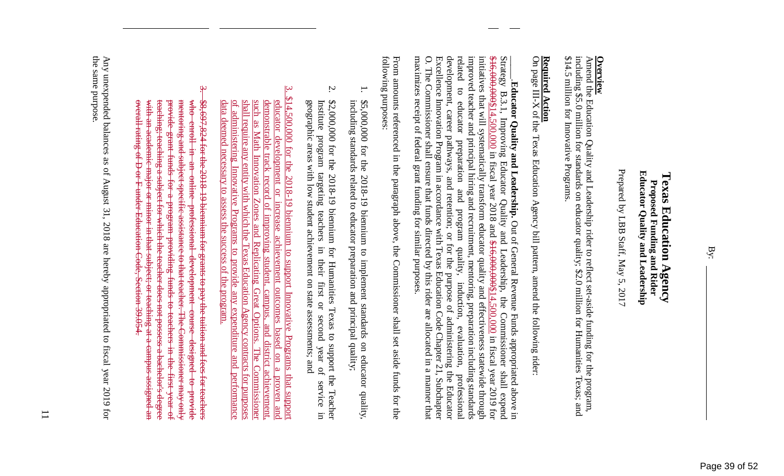### **Educator Quality and Leadership Educator Quality and Leadership**  Texas Education Agency **Texas Education Agency**  Proposed Funding and Rider<br>Proposed Funding and Rider **Proposed Funding and Rider**

Prepared by LBB Staff, May 5, 2017 Prepared by LBB Staff, May 5, 2017

\$14.5 million for Innovative Programs. including \$5.0 million for standards on educator quality; \$2.0 million for Humanities Texas; and **Overview**<br>Amend the Education Quality and Leadership rider to reflect set-aside funding for the program, \$14.5 million for Innovative Programs. including \$5.0 million for standards on educator quality; \$2.0 million for Humanities Texas; and Amend the Education Quality and Leadership rider to reflect set-aside funding for the program,

# **Required Action**

**Required Action**<br>On page III-X of the Texas Education Agency bill pattern, amend the following rider: On page III-X of the Texas Education Agency bill pa ttern, amend the following rider:

related maximizes receipt of federal grant funding for similar purposes O. The Commissioner shall ensure that funds directed by this rider are allocated in a manner that development, career pathways, and retention; or for the purpose of administering the Educator Excellence Innovation Program in accordance with Texas Education Code Chapter 21, Subchapter improved teacher and principal hiring and recruitment, mentoring, preparation including standards  $$16,000,000014,500,000$  in fiscal year 2018 and  $$16,000,000$  in fiscal year 2019 for Strategy B.3.1, Improving maximizes receipt of federal grant funding for similar purposes. O. The Commissioner shall ensure that funds directed by this rider are allocated in a manner that Excellence Innovation Program in accordance with Texas Education Code Chapter 21, Subchapter development, career pathways, and retention; or for the purpose of administering the Educator related to educator preparation and program quality, induction, evaluation, professional improved teacher and principal hiring and recruitment, mentoring, preparation including standards initiatives that will systematically transform educator quality and effectiveness statewide through initiatives that will systematically transform educator quality and effectiveness statewide through \$16,000,000\$14,500,000 in fiscal year 2018 and \$16,000,000\$14,500,000 in fiscal year 2019 for Strategy B.3.1, Improving Educator Quality and Leadership, the Commissioner shall expend \_\_\_\_\_.**Educator Quality and Leadership.** Out of General Revenue Funds appropriated above in Educator Quality and Leadership. Out of General Revenue Funds appropriated above in  $\overline{c}$ educator preparation and program quality, Educator Quality and Leadership, the Commissioner shall expend induction, evaluation, professional

following purposes: following purposes: From amounts referenced in the paragraph above, the Commissioner shall set aside funds for the From amounts referenced in the paragraph above, the Commissioner shall set aside funds for the

- 1. \$5,000,000 for the 2018-19 biennium to implement standards on educator quality, ;⊢ including standards related to educator preparation and principal quality; \$5,000,000 for the 2018-19 biennium to implement standards on educator quality, including standards related to educator preparation and principal quality;
- $\mathcal{L}$ 2. \$2,000,000 for the 2018-19 biennium for Humanities Texas to support the Teacher \$2,000,000 for the 2018-19 biennium for Humanities Texas to support the Teacher Institute program targeting teachers in their first or second year of service in geographic areas with low student achievement on state assessments; and geographic areas with low student achievement on state assessments; and Institute program targeting teachers in their first or second year of service in
- $\overline{\omega}$ 3. \$14,500,000 for the 2018-19 biennium to support Innovative Programs that support  $$14,500,000$  for the  $2018-19$  biennium to support Innovative Programs that support  $\overline{P}$ shall require any entity with which the Texas Education Agency contracts for purposes educator development or increase achievement outcomes based on a proven and<br>demonstrable track record of improving student, campus, and district achievement, data deemed necessary to assess the success of the program. such as Math Innovation Zones and Replicating Great Options. The Commissioner data deemed necessary to assess the success of the program. of administering Innovative Programs to provide any expenditure and performance shall require any entity with which the Texas Education Agency contracts for purposes such as Math Innovation Zones and Replicating Great Options. The Commissioner demonstrable track record of improving student, campus, and district achievement, educator development or increase achievement outcomes based on a proven and administering Innovative Programs to provide any expenditure and performance
- Ψ  $3. - $8,697,824$  for the 2018-19 biennium for grants to pay the tuition and fees for teachers <del>AHA</del> mentoring and subject specific assistance to that teacher. The Commissioner may only \$8,697,824 for the 2018–19 biennium for grants to pay the tuition and fees for teachers overall rating of D or F under Education Code, Section 39.054. overall rating of D or F under Education Code, Section 39.054. with an academic major or minor in that subject; or teaching at a campus assigned an with an academic major or minor in that subject; or teaching at a campus assigned an <del>teaching; teaching a subject for which the teacher does not possess a bachelor's degree</del> teaching; teaching a subject for which the teacher does not possess a bachelor's degree provide grant funds for a program providing funds to teachers in the first year of provide grant funds for a program providing funds to teachers in the first year of mentoring and subject specific assistance to that teacher. The Commissioner may only who enroll in an online professional development course designed to provide Heine- $\frac{4}{10}$ <del>online</del> professional development **eeurse** designed to **Provide**

₿ the same purpose. Any unexpended balances as of August 31, 2018 are hereby appropriated to fiscal year 2019 for Any unexpended balances as of August 31, 2018 are hereby appropriated to fiscal year 2019 for same purpose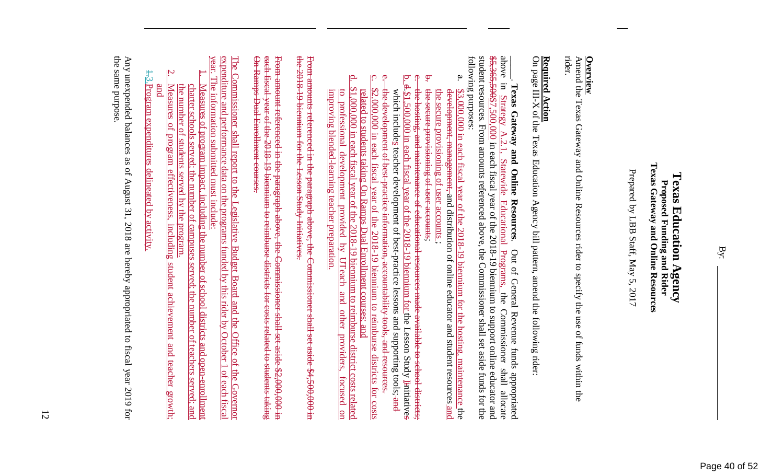Page 40 of 52

### Texas Gateway and Online **Texas Gateway and Online Resources Texas Education Agency Texas Education Agency**  Proposed Funding and Rider **Proposed Funding and Rider**  Resources

Prepared by LBB Staff, May 5, 2017 Prepared by LBB Staff, May 5, 2017

Amend the Texas Gateway and Online Resources rider **Overview**<br>Amend the Texas Gateway and Online Resources rider to specify the use of funds within the to specify the use of funds within the rider.

# **Required Action**

**Required Action**<br>On page III-X of the Texas Education Agency bill pattern, amend the following rider: On page III-X of the Texas Education Agency bill pa ttern, amend the following rider:

above following purposes: student resources. From amounts referenced above, the Commissioner shall set aside funds for the  $35,365,500,000$  in each fiscal year of the 2018-19 biennium to support online educator and following purposes: student resources. From amounts referenced above, the Commissioner shall set aside funds for the  $$5,365,500,000$  in each fiscal year of the 2018-19 biennium to support online educator and above in Strategy A.2.1, Statewide Educational Programs, the Commissioner shall allocate \_\_\_\_\_. **Texas Gateway and Online Resources**in Strategy Texas Gateway and Online Resources.  $\overline{\mathsf{c}}$ **Statewide Educational** . Out of General Revenue funds appropriated Programs. Out of General Revenue funds appropriated the Commissioner shall allocate

- ą. a. \$3,000,000 in each fiscal year of the 2018-19 biennium for the hosting, maintenance the the secure provisioning of user accounts the secure provisioning of user accounts ; development, management, and distribution of online educator and student resources and development, management, and distribution of online educator and student resources and  $.000,000$  in each fiscal year of the 2018-19 biennium for the hosting, maintenance the
- b.  $#$ the secure provisioning of user accounts; seeure provisioning of user accounts;
- ĪQ  $\frac{1}{2}$ . d.  $\frac{3}{1}$ , 500,000 in each fiscal year of the 2018-19 biennium for the Lesson Study I<del>i</del>nitiatives c. the hosting, and maintenance of educational resources made available to school districts;  $-\frac{4.51}{2}$ the hosting, and maintenance of educational resources made available to school districts;<br> $$1,500,000$  in each fiscal year of the 2018-19 biennium for the Lesson Study Linitiatives
- e. the development of best-practice information, accountability tools, and resources.  $\frac{4}{5}$ which includes teacher development of best-practice lessons and supporting tools; and which includes teacher development of best-practice lessons and supporting tools; and development of best-practice information, accountability tools, and resourc
- c. \$2,000,000 in each fiscal year of the 2018-19 biennium to reimburse districts for costs related to students taking On Ramps Dual Enrollment courses; and  $$2,000,000$  in each fiscal year of the 2018-19 biennium to reimburse districts for costs related to students taking On Ramps Dual Enrollment courses; and
- $\overline{\mathbf{p}}$ d. \$1,000,000 in each fiscal year of the 2018-19 biennium to reimburse district costs related  $$1,000,000$  in each fiscal year of the 2018-19 biennium to reimburse district costs related improving blended-learning teacher preparation  $\overline{c}$ improving blended-learning teacher preparation. to professional development provided by UTeach and other providers, focused on professional development provided by **UTeach** and other providers. focused on

₩ From amounts referenced in the paragraph above, the Commissioner shall set aside \$4,500,000 in the 2018-19 biennium for the Lesson Study Initiatives. From amounts referenced in the paragraph above, the Commissioner shall set aside \$4,500,000 in 2018–19 biemium for the Lesson Study Initiative

On Ramps Dual Enrollment courses. each fiscal From amount referenced in the paragraph above, the Commissioner shall set aside \$2,000,000 in On Ramps Dual Enrollment courses. each fiscal year of the 2018-19 biennium to reimburse districts for costs related to students taking From amount referenced in the paragraph above, the Commissioner shall set aside \$2,000,000 in year of the 2018 19 biennium to reimburse districts for costs related to students taking

<u>vear.</u> The Commissioner shall report to the Legislative Budget Board and the Office of the Governor expenditure and performance data on the programs funded by this rider by October 1 of each fiscal year. The information submitted must include: expenditure and performance data on the programs funded by this rider by October 1 of each fiscal The Commissioner shall report to the Legislative Bu The information submitted must include: dget Board and the Office of the Governor

- 1. charter schools served; the number of campuses served; the number of teachers served; and charter schools served; the number of campuses served; the number of teachers served; and Measures of program impact, including the number of school districts and open-enrollment Measures of program impact, including the number of school districts and open-enrollment
- Measures of program effectiveness, including student achievement and teacher growth; Measures of program effectiveness, including student achievement and teacher growth; the number of students served by the program. the number of students served by the program.
- $\pm 3.$ Program expenditures delineated by activity. Program expenditures delineated by activity. and

 $\mathbf{z}$ 

the same purpose the same purpose. Any unexpended balances as of August 31, 2018 are hereby appropriated to fiscal year 2019 for Any unexpended balances as of August 31, 2018 are hereby appropriated to fiscal year 2019 for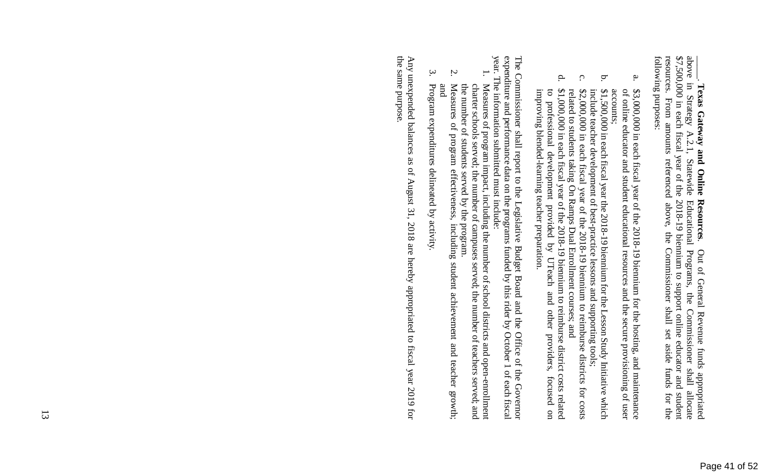**Texas Gateway and Online Resources.** Out of General Revenue funds appropriated above in Strategy A.2.1, Statewide Educational Programs, the Commissioner shall allocate \$7,500,000 in each fiscal year of the 2018-19 bienni resources. From amounts referenced above, the Commissioner shall set aside funds for the following purposes: resources. From amounts referenced above, the Commissioner shall set aside funds for the \$7,500,000 in each fiscal year of the 2018-19 biennium to support online educator and student above in Strategy A.2.1, Statewide Educational Programs, the Commissioner shall allocate \_\_\_\_\_. **Texas Gateway and Online Resources**. Out of General Revenue funds appropriated

- $\mathbf a$ a. \$3,000,000 in each fiscal year of the 2018-19 biennium for the hosting, and maintenance \$3,000,000 in each fiscal year of the 2018-19 biennium for the hosting, and maintenance accounts; of online educator and student educational resources and the secure provisioning of user of online educator and student educational resources and the secure provisioning of user
- $\mathbf{a}$ b. \$1,500,000 in each fiscal year the 2018-19 biennium for the Lesson Study Initiative which include teacher development of best-practice lessons and supporting tools; \$1,500,000 in each fiscal year the 2018-19 biennium for the Lesson Study Initiative which include teacher development of best-practice lessons and supporting tools;
- $\mathcal{O}$ c. \$2,000,000 in each fiscal year of the 2018-19 biennium to reimburse districts for costs related to students taking On Ramps Dual Enrollment courses; and  $$2,000,000$  in each fiscal year of the 2018-19 biennium to reimburse districts for costs related to students taking On Ramps Dual Enrollment courses; and
- $\mathbf{p}$ d. \$1,000,000 in each fiscal year of the 2018-19 biennium to reimburse district costs related  $$1,000,000$  in each fiscal year of the 2018-19 biennium to reimburse district costs related to professional development provided by UTeach and other providers, focused on improving blended-learning teacher preparation. improving blended-learning teacher preparation. to professional development provided by UTeach and other providers, focused on

expenditure and performance data on the programs funded by this rider by October 1 of each fiscal year. The information submitted must include: The Commissioner shall report to the Legislative Budget Board and the Office of the Governor year. The information submitted must include: expenditure and performance data on the programs funded by this rider by October 1 of each fiscal The Commissioner shall report to the Legislative Budget Board and the Office of the Governor

- 1. charter schools served; the number of campuses served; the number of teachers served; and Measures of program impact, including the number of school districts and open-enrollment the number of students served by the program. the number of students served by the program. charter schools served; the number of campuses served; the number of teachers served; and Measures of program impact, including the number of school districts and open-enrollment
- 2. and Measures of program effectiveness, including student achievement and teacher growth; Measures of program effectiveness, including student achievement and teacher growth;
- $\mathfrak{g}.$ Program expenditures delineated by activity. Program expenditures delineated by activity.

the same purpose. Any unexpended balances as of August 31, 2018 are hereby appropriated to fiscal year 2019 for the same purpose. Any unexpended balances as of August 31, 2018 are hereby appropriated to fiscal year 2019 for

13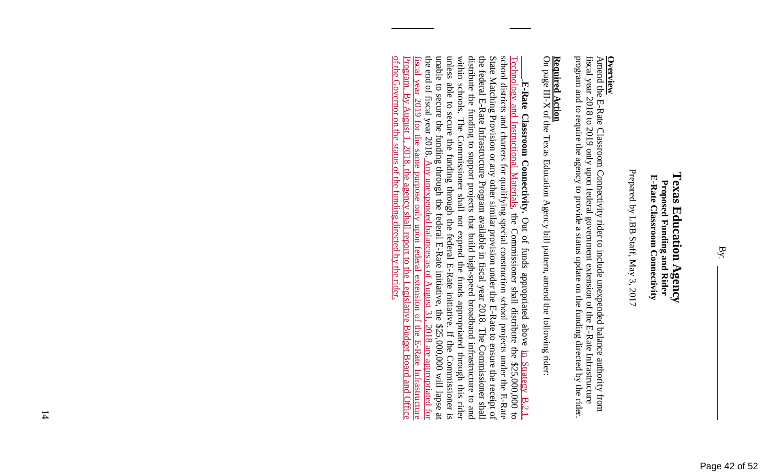### **Texas Education Agency Texas Education Agency**  E-Rate Classroom Connectivity **E-Rate Classroom Connectivity**  Proposed Funding and Rider **Proposed Funding and Rider**

Prepared by LBB Staff, May 3, 2017 Prepared by LBB Staff, May 3, 2017

**Overview**<br>Amend the E-Rate Classroom Connectivity rider to include unexpended balance authority from<br>fiscal year 2018 to 2019 only upon federal government extension of the E-Rate Infrastructure program and to require the agency to provide a status update on the funding directed by the rider. program and to require the agency to provide a status update on the funding directed by the rider. fiscal year 2018 to 2019 only upon federal government extension of the E-Rate Infrastructure Amend the E-Rate Classroom Connectivity rider to in clude unexpended balance authority from

## **Required Action**

**Required Action**<br>On page III-X of the Texas Education Agency bill pattern, amend the following rider: On page III-X of the Texas Education Agency bill pa ttern, amend the following rider:

unable to secure the funding through the federal E-Rate initiative, the \$25,000,000 will lapse at unless able to secure the funding through the federal E-Rate initiative. distribute the funding to support projects that build high-speed broadband infrastructure to and within schools. The Commissioner shall not expend the funds appropriated through this rider of the Governor on the status of the funding directed by the rider. the end of fiscal year 2018. the federal E-Rate Infrastructure Program available in fiscal year 2018. The Commissioner shall State Matching Provision or any other similar provision under the E-Rate to ensure the receipt of school districts and charters for qualifying special construction school projects under the E-Rate Technology and Instructional Materials, the Commissioner shall distribute the \$25,000,000 to of the Governor on the status of the funding directed by the rider. Program Program. By August 1, 2018, the agency shall report to the Legislative Budget Board and Office fiscal year fiscal year 2019 for the same purpose only upon federal extension of the E-Rate Infrastructure the end of fiscal year 2018. Any unexpended balances as of August 31, 2018 are appropriated for unable to secure the funding through the federal E-Rate initiative, the \$25,000,000 will lapse at unless able to secure the funding through the federal E-Rate initiative. If the Commissioner is within schools. The Commissioner shall not expend the funds appropriated through this rider distribute the funding to support projects that build high-speed broadband infrastructure to and the federal E-Rate Infrastructure Program available in fiscal year 2018. The Commissioner shall State Matching Provision or any other similar provision under the E-Rate to ensure the receipt of school districts and charters for qualifying special construction school projects under the E-Rate Technology and Instructional Materials, the Commissioner shall distribute the \$25,000,000 to \_\_\_\_\_.**E-Rate Classroom Connectivity.** E-Rate Classroom Connectivity. Out of funds appropriated above.  $\overline{\mathbf{B}}\mathbf{y}$ 2019 August for the .2018. **same** Any unexpended balances the agency shall report to the **purpose** only Out of funds appropriated above in Strategy B.2.1, upon federal extension of the  $\frac{35}{10}$  $\sqrt{2}$ August egislative Budget Board and Office  $\overline{31}$ 2018 are appropriated for If the Commissioner is  $|\mathbb{H}|$  $-$ **Rate** in Strategy B.2.1. Infrastructure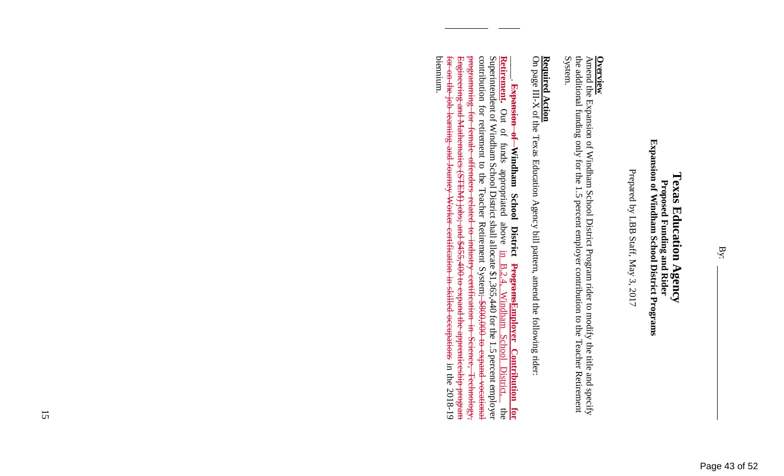## Proposed Funding and Rider<br>Expansion of Windham School District Programs **Expansion of Windham School District Programs Texas Education Agency Texas Education Agency Proposed Funding and Rider**

Prepared by LBB Staff, May 3, 2017 Prepared by LBB Staff, May 3, 2017

Amend the Expansion of Windham School District Prog **Overview**<br>Amend the Expansion of Windham School District Program rider to modify the title and specify<br>Amend the Expansion of Windham School District Program rider to modify the title and specify ram rider to modify the title and specify the additional funding only for the 1.5 percent employer contribution to the Teacher Retirement the additional funding only for the 1.5 percent employer contribution to the Teacher Retirement System.

# **Required Action**

**Required Action**<br>On page III-X of the Texas Education Agency bill pattern, amend the following rider: On page III-X of the Texas Education Agency bill pa ttern, amend the following rider:

<del>for on the job learning and Journey Worker certification in skilled occupations</del> in the<br>biennium. contribution for retirement to the Teacher Retirement System; \$800,000 to expand vocational Superintendent of Windham School District shall allocate \$1,365,440 for the 1.5 percent employer for on-the-job learning and Journey Worker certification in skilled occupations in the 2018-19 Engineering and Mathematics (STEM) jobs; and \$455,400 to expand the apprenticeship program Engineering and Mathematics (STEM) jobs; and \$455,400 to expand the apprenticeship program programming for programming for female offenders related to industry certification in Science, Technology, contribution for retirement to the Teacher Retirement System; \$800,000 to expand vocational Superintendent of Windham School District shall allocate \$1,365,440 for the 1.5 percent employer Retirement. Out of funds appropriated above **Retirement.**  $\overline{\phantom{a}}$ **Expansion of Windham School District ProgramsEmployer Contribution for**  Out of funds appropriated above in B.2.4, Windham School District, the female offenders related to industry of Windham School District  $\mathbb{E}$  $\overline{B.2.4}$ ProgramsEmployer Contribution certification in Science, Technology, Windham **School District** 2018-19 the  $\overline{a}$ <u>for</u>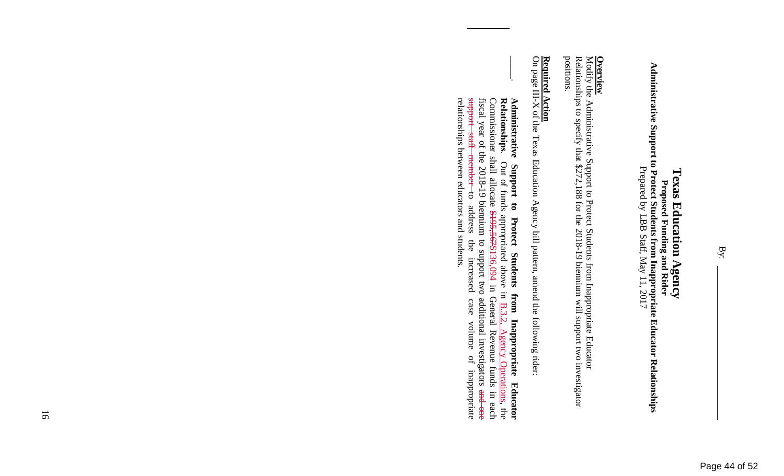Administrative Support to Proposed Funding and Rider<br>Administrative Support to Protect Students from Inappropriate Educator Relationships **Administrative Support to Protect Students from Inappropriate Educator Relationships**  Prepared by LBB Staff, May 11, 2017 **Proposed Funding and Rider** 

Modify the Administrative Support to Protect Studen **Overview**<br>Modify the Administrative Support to Protect Students from Inappropriate Educator<br>Relationships to specify that \$272,188 for the 2018-19 biennium will support two investigator ts from Inappropriate Educator Relationships to specify that \$272,188 for the 2018-19 biennium will support two investigator positions.

# **Required Action**

 $\vert$ 

**Required Action**<br>On page III-X of the Texas Education Agency bill pattern, amend the following rider: On page III-X of the Texas Education Agency bill pa ttern, amend the following rider:

relationships between educators and students. support fiscal year of the 2018-19 biennium to support two additional investigators and one Commissioner shall allocate \$195,567\\$136,094 in General Revenue funds in each Relationships. Administrative Support to Protect Students relationships between educators and students. support staff member to address the increased case volume of inappropriate fiscal year of the 2018-19 biennium to support two additional investigators and one Commissioner shall allocate \$195,567\$136,094 in General Revenue funds in each **RelationshipsAdministrative Support to Protect Students from Inappropriate Educator**  staff member . Out of funds appropriated above in  $\underline{B.3.2}$ , Agency Operations, the Out of funds appropriated above in  $\underline{B.3.2}$  $rac{1}{\sigma}$ address  $\mathop{\mathrm{the}}$ increased from Inappropriate  $case$ volume Agency Operations, the  $\vec{D}$ inappropriate **Educator**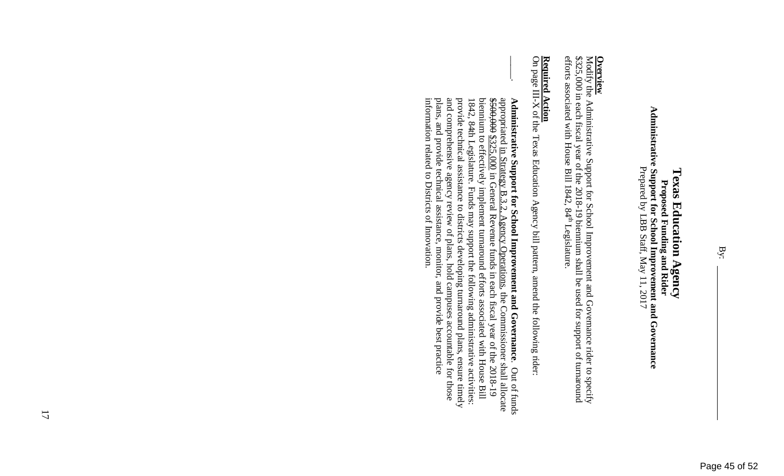Administrative Supposed Funding and Rider<br>Administrative Support for School Improvement and Governance<br>Prepared by LBB Staff, May 11, 2017 **Administrative Support for School Improvement and Governance**  Prepared by LBB Staff, May 11, 2017

Modify the Administrative Support for School Improv **Overview**<br>Modify the Administrative Support for School Improvement and Governance rider to specify<br>Modify the Administrative Support for School Improvement and Governance rider to specify ement and Governance rider to specify \$325,000 in each fiscal year of the 2018-19 biennium shall be used for support of turnaround efforts associated with House Bill 1842, 84 \$325,000 in each fiscal year of the 2018-19 biennium shall be used for support of turnaround efforts associated with House Bill 1842,  $84^{\text{th}}$  Legislature. Legislature.

# **Required Action**

 $\vert$ 

**Required Action**<br>On page III-X of the Texas Education Agency bill pattern, amend the following rider: On page III-X of the Texas Education Agency bill pa ttern, amend the following rider:

information related to Districts of Innovation. plans, and provide technical assistance, monitor, and provide best practice and comprehensive agency review of plans, hold campuses accountable for those provide technical assistance to districts developing turnaround plans, ensure timely 1842, 84th Legislature. Funds may support the following administrative activities: biennium to effectively implement turnaround efforts associated with House Bill  $$500,000$   $$225,000$  in General Revenue funds in each fiscal year of the 2018-19 appropriated in Strategy B.3.2, Agency Operations, the Commissioner shall allocate Administrative Support for School Improvement and Governance. Out of funds information related to Districts of Innovation. plans, and provide technical assistance, monitor, and provide best practice and comprehensive agency review of plans, hold campuses accountable for those provide technical assistance to districts developing turnaround plans, ensure timely 1842, 84th Legislature. Funds may support the following administrative activities: biennium to effectively implement turnaround efforts associated with House Bill  $$500,000$  in  $G$ eneral Revenue funds in each fiscal year of the 2018-19 appropriated in Strategy B.3.2, Agency Operations, the Commissioner shall allocate **Administrative Support for School Improvement and Governance**. Out of funds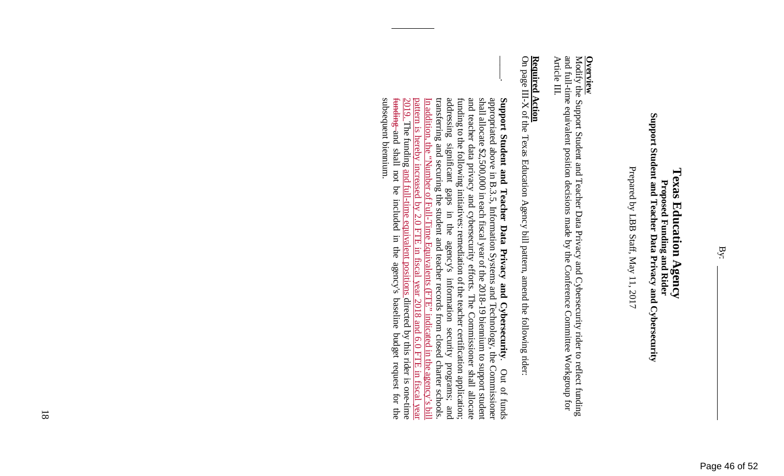Prepared by LBB Staff, May 11, 2017 Prepared by LBB Staff, May 11, 2017

## **Overview**

and full-time equivalent position decisions made by the Conference Committee Workgroup for Article III. Modify the Support Student and Teacher Data Privacy and Cybersecurity rider to reflect funding and full-time equivalent position decisions made by the Conference Committee Workgroup for Modify the Support Student and Teacher Data Privacy and Cybersecurity rider to reflect funding

# **Required Action**

**Required Action**<br>On page III-X of the Texas Education Agency bill pattern, amend the following rider: On page III-X of the Texas Education Agency bill pa ttern, amend the following rider:

 $\vert$ pattern<br>2019. T subsequent biennium. funding and shall not be included in the agency's baseline budget request for the transferring and securing the student and teacher records from closed charter schools. funding to the following initiatives: remediation of the teacher certification application;<br>addressing significant gaps in the agency's information security programs; and and teacher data privacy and cybersecurity efforts. The Commissioner shall allocate shall allocate \$2,500,000 in each fiscal year of the 2018-19 biennium to support student appropriated above in B.3.5, Information Systems and Technology, the Commissioner Support Student and Teacher Data Privacy and Cybersecurity. subsequent biennium. funding and shall not be included in the agency's baseline budget request for the 2019. The funding and full-time equivalent positions directed by this rider is one-time pattern is hereby increased by 2.0 FTE in fiscal year 2018 and 6.0 FTE in fiscal year In addition, the "Number of Full-Time Equivalents (FTE" indicated in the agency's bill transferring and securing the student and teacher records from closed charter schools. addressing significant gaps in the agency's information security programs; and funding to the following initiatives: remediation of the teacher certification application; and teacher data privacy and cybersecurity efforts. The Commissioner shall allocate shall allocate \$2,500,000 in each fiscal year of the 2018-19 biennium to support student appropriated above in B.3.5, Information Systems and Technology, the Commissioner **Support Student and Teacher Data Privacy and Cybersecurity**. Out of funds addition, the 'Number The funding and  $\underline{18}$ hereby Number of Full-Time Equivalents (FTE? indicated in the agency's bill<br>increased by 2.0 FTE in fiscal year 2018 and 6.0 FTE in fiscal year<br>g and full-time equivalent positions directed by this rider is one-time Out of funds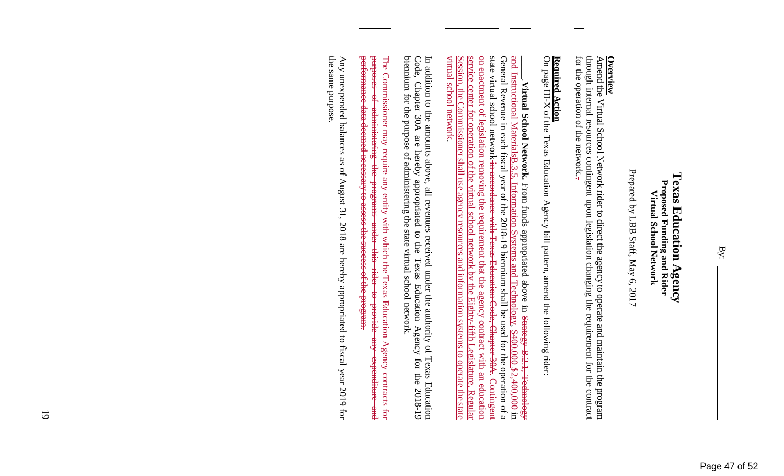### Texas Education Agency **Texas Education Agency**  Proposed Funding and Rider<br>Virtual School Network **Proposed Funding and Rider Virtual School Network**

Prepared by LBB Staff, May 6, 2017 Prepared by LBB Staff, May 6, 2017

**Overview**<br>Amend the Virtual School Network rider to direct the agency to operate and maintain the program<br>Amend the Virtual School Network rider to direct the agency to operate and maintain the program for the operation of the network. through internal resources contingent upon legislation changing the requirement for the contract for the operation of the network.. through internal resources contingent upon legislation changing the requirement for the contract Amend the Virtual School Network rider to direct th e agency to operate and maintain the program

## **Required Action**

**Required Action**<br>On page III-X of the Texas Education Agency bill pattern, amend the following rider: On page III-X of the Texas Education Agency bill pa ttern, amend the following rider:

Session, the Commissioner shall use agency resources and information systems to operate the state service center for operation of the virtual school network by the Eighty-fifth Legislature, <u>on enactment of legislation removing the requirement that the agency contract with an education</u> state virtual school network-in-aceordance General Revenue in each fiscal year of the 2018-19 biennium shall be used for the operation of a and Instructional Materials<sup>B.3.5</sup>. virtual school network. virtual school network. Session, the Commissioner shall use agency resources and information systems to operate the state service center for operation of the virtual school network by the Eighty-fifth Legislature, Regular on enactment of legislation removing the requirement that the agency contract with an education state virtual school network in accordance with Texas Education Code, Chapter 30A. Contingent General Revenue in each fiscal year of the 2018-19 biennium shall be used for the operation of a and Instructional MaterialsB.3.5, Information Systems and Technology, \$400,000 \$2,400,000 in \_\_\_\_\_.**Virtual School Network.** Virtual School Network. From funds appropriated above in Strategy B.2.1, Technology Information Systems and Technology, \$400,000 \$2,400,000 in From funds appropriated above in Strategy B.2.1, Technology with Texas Education Code, Chapter 30A Contingent Regular

In addition to the amounts above, all revenues received under the authority of Texas Education Code, Chapter 30A are hereby appropriated to the Texas Education Agency for the 2018-19 biennium for the purpose of administeri biennium for the purpose of administering the state virtual school network. Code, Chapter 30A are hereby appropriated to the Texas Education Agency for the 2018-19 In addition to the amounts above, all revenues received under the authority of Texas Education

performance data deemed necessary to assess the success of the program. **burpeses** The Commissioner may require any entity with which the Texas Education Agency contracts for performance data deemed necessary to assess the success of the program. purposes of administering the programs under this rider to provide any expenditure and The Commissioner may require any entity with which the Texas Education Agency contracts for  $\frac{1}{2}$ administering  $rac{1}{2}$ **Programs** under this rider to provide **Aue** expenditure **PHP** 

the same purpose the same purpose. Any unexpended balances as of August 31, 2018 are hereby appropriated to fiscal year 2019 for Any unexpended balances as of August 31, 2018 are hereby appropriated to fiscal year 2019 for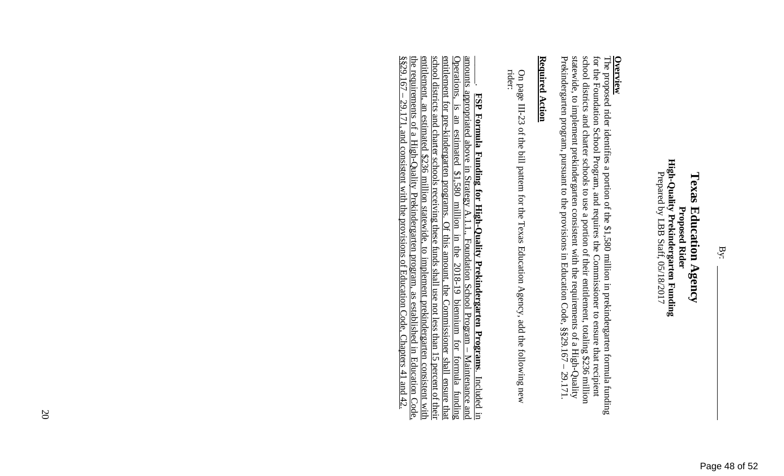## **Overview**

statewide, to implement prekindergarten consistent with the requirements of a High-Quality Prekindergarten program, pursuant to the provisions in Education Code,  $§$ §29.167 – 29.171. school districts and charter schools to use a portion of their entitlement, totaling \$236 million for the Foundation School Program, and requires the Commissioner to ensure that recipient The proposed rider identifies a portion of the \$1,580 million in prekindergarten formula funding Prekindergarten program, pursuant to the provisions in Education Code, §§29.167 – 29.171. statewide, to implement prekindergarten consistent with the requirements of a High-Quality school districts and charter schools to use a portion of their entitlement, totaling \$236 million for the Foundation School Program, and requires the Commissioner to ensure that recipient The proposed rider identifies a portion of the \$1,5 80 million in prekindergarten formula funding

### Required Action **Required Action**

On page III-23 of the bill pattern for the Texas Education Agency, add the following new On page III-23 of the bill pattern for the Texas Education Agency, add the following new rider:

entitlement, an estimated \$236 million statewide, to implement prekindergarten consistent with the requirements of a High-Quality Prekindergarten program, as established in Education Code,  $\frac{1}{8829.167 - 29.171}$ , and co **ESP Formula Funding for High-Quality Prekindergarten Programs.** Included in amounts appropriated above in Strategy  $A.1.1$ ., Foundation School Programs. Included in amounts appropriated above in Strategy  $A.1.1$ ., Founda school districts and charter schools receiving these funds shall use not less than 15 percent of their entitlement for pre-kindergarten programs. Of this amount, the Commissioner shall ensure that §§29.167 – 29.171, and consistent with the provisions of Education Code, Chapters 41 and 42. the requirements of a High-Quality Prekindergarten program, as established in Education Code, entitlement, an estimated \$236 million statewide, to implement prekindergarten consistent with school districts and charter schools receiving these funds shall use not less than 15 percent of their entitlement for pre-kindergarten programs. Of this amount, the Commissioner shall ensure that Operations, is an estimated \$1,580 million in the 2018-19 biennium for formula funding amounts appropriated above in Strategy A.1.1., Foundation School Program – Maintenance and **FSP Formula Funding for High-Quality Prekindergarten Programs**. Included in

20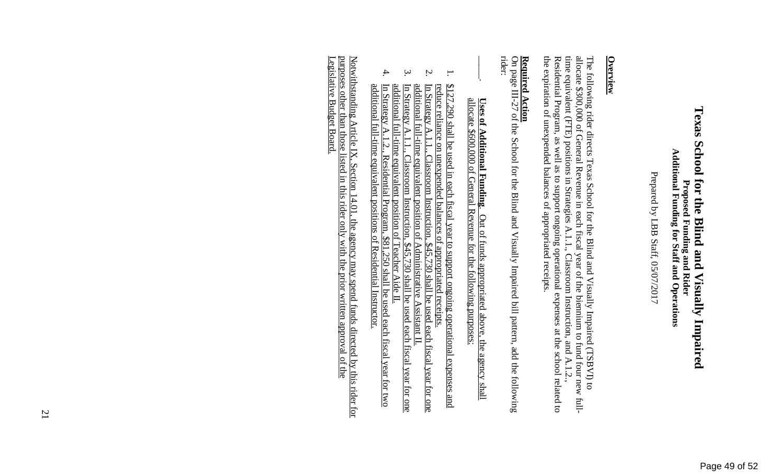## Texas School for the Blind and Visually Impaired **Texas School for the Blind and Visually Impaired**  Proposed Funding and Rider<br>Additional Funding for Staff and Operations **Additional Funding for Staff and Operations Proposed Funding and Rider**

Prepared by LBB Staff, 05/07/2017 Prepared by LBB Staff, 05/07/2017

## **Overview**

allocate \$300,000 of General Revenue in each fiscal year of the biennium to fund four new fullthe expiration of unexpended balances of appropriated receipts. time equivalent (FTE) positions in Strategies A.1.1., Classroom Instruction, and A.1.2., The following rider directs Texas School for the Blind and Visually Impaired (TSBVI) to the expiration of unexpended balances of appropriated receipts. Residential Program, as well as to support ongoing operational expenses at the school related to Residential Program, as well as to support ongoing operational expenses at the school related to time equivalent (FTE) positions in Strategies A.1.1., Classroom Instruction, and A.1.2., allocate \$300,000 of General Revenue in each fiscal year of the biennium to fund four new full-The following rider directs Texas School for the Bl ind and Visually Impaired (TSBVI) to

# **Required Action**

On page III-27 of the School for the Blind and Visu ally Impaired bill pattern, add the following **Required Action**<br>On page III-27 of the School for the Blind and Visually Impaired bill pattern, add the following<br>rider:

## allocate allocate \$600,000 of General Revenue for the following purposes: **Uses of Additional Funding Uses of Additional Funding**. Out of funds appropriated above, the agency shall **Additional Funding.** Out of funds appropriated above, the agency shall<br>\$600,000 of General Revenue for the following purposes:

 $\vert$ 

- 1. reduce reliance on unexpended balances of appropriated receipts. \$127,290 shall be used in each fiscal year to support ongoing operational expenses and \$127,290 shall be used in each fiscal year to support ongoing operational expenses and
- 2. additional full-time equivalent position of Administrative additional full-time equivalent position of Administrative Assistant II. reduce reliance on unexpended balances of appropriated receipts.<br>In Strategy A.1.1., Classroom Instruction, \$45,730 shall be used each fiscal year for one In Strategy A.1.1., Classroom Instruction, \$45,730 shall be used each fiscal year for one Assistant II
- $\mathbf{\dot{3}}$ In Strategy A.1.1., Classroom Instruction, \$45,730<br>additional full-time equivalent position of Teacher<br>In Strategy A.1.2., Residential Program, \$81,250 sl In Strategy A.1.2., Residential Program, \$81,250 shall be used each fiscal year for two additional full-time equivalent position of Teacher Aide II. In Strategy A.1.1., Classroom Instruction, \$45,730 shall be used each fiscal year for one \$45, 730 shall be used each fiscal year for one **Aide**  $\Box$
- 4. additional full-time equivalent positions of Residential Instructor. additional full-time equivalent positions of Residential Instructor. .250 shall be used each fiscal year for two

Notwithstanding Article IX, Section 14.01, the agency may spend funds directed by this rider for Legislative Budget Board. Legislative Budget Board. purposes other than those listed in this rider only with the prior written approval of the purposes other than those listed in this rider only with the prior written approval of the Notwithstanding Article IX, Section 14.01, the agency may spend funds directed by this rider for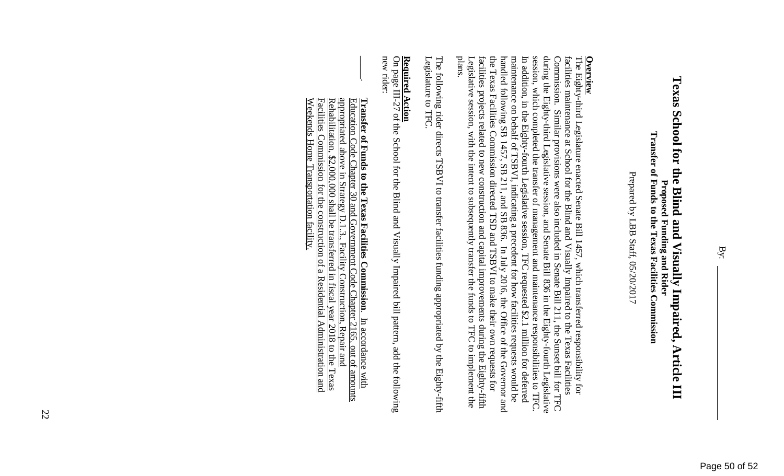Prepared by LBB Staff, 05/20/2017 Prepared by LBB Staff, 05/20/2017

Legislative session, with the intent to subsequently transfer the funds to TFC to implement the plans. **Overview**<br>The Eighty-third Legislature enacted Senate Bill 1457, which transferred responsibility for the Texas Facilities Commission directed TSD and TSBVI to make their own requests for handled following SB 1457, SB 211, and SB 836. In July 2016, the Office of the Governor and maintenance on behalf of TSBVI, indicating a precedent for how facilities requests would be In addition, in the Eighty-fourth Legislative session, TFC requested \$2.1 million for deferred session, which completed the transfer of management and maintenance responsibilities to TFC. during the Eighty-third Legislative session, and Senate Bill 836 in the Eighty-fourth Legislative facilities maintenance at School for the Blind and Visually Impaired to the Texas Facilities Legislative session, with the intent to subsequently transfer the funds to TFC to implement the facilities projects related to new construction and capital improvements during the Eighty-fifth facilities projects related to new construction and capital improvements during the Eighty-fifth the Texas Facilities Commission directed TSD and TSBVI to make their own requests for handled following SB 1457, SB 211, and SB 836. In July 2016, the Office of the Governor and maintenance on behalf of TSBVI, indicating a precedent for how facilities requests would be In addition, in the Eighty-fourth Legislative session, TFC requested \$2.1 million for deferred session, which completed the transfer of management and maintenance responsibilities to TFC. during the Eighty-third Legislative session, and Senate Bill 836 in the Eighty-fourth Legislative Commission. Similar provisions were also included in Senate Bill 211, the Sunset bill for TFC Commission. Similar provisions were also included in Senate Bill 211, the Sunset bill for TFC facilities maintenance at School for the Blind and Visually Impaired to the Texas Facilities The Eighty-third Legislature enacted Senate Bill 14 57, which transferred responsibility for

Legislature to TFC The following rider directs TSBVI to transfer facilities funding appropriated by the Eighty-fifth Legislature to TFC. The following rider directs TSBVI to transfer facil ities funding appropriated by the Eighty-fifth

### Required Action **Required Action**

 $\vert$ 

new rider: On page III-27 of the School for the Blind and Visually Impaired bill pattern, add the following On page III-27 of the School for the Blind and Visu ally Impaired bill pattern, add the following

<u>Rehabilitation, \$2,000,000 shall be transferred in fiscal year 2018 to the Texas</u> appropriated above in Strategy D.1.3., Facility Construction, Repair and Weekends Home Transportation facility. Weekends Home Transportation facility. Facilities Commission for the construction of a Residential Administration and Facilities Commission for the construction of a Residential Administration and Rehabilitation, \$2,000,000 shall be transferred in fiscal year 2018 to the Texas appropriated above in Strategy D.1.3., Facility Construction, Repair and Education Code Chapter 30 and Government Code Chapter 2165, out of amounts Education Code Chapter 30 and Government Code Chapter 2165, out of amounts **Transfer of Funds to the Texas Facilities CommissionTransfer of Funds to the Texas Facilities Commission.** In accordance with . In accordance with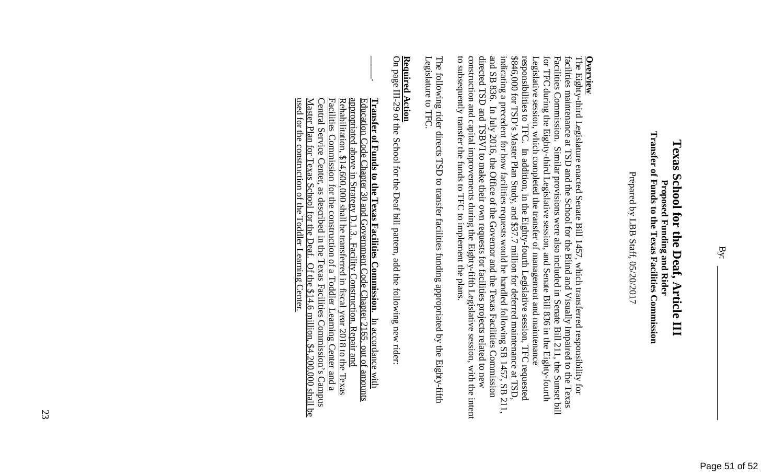Prepared by LBB Staff, 05/20/2017 Prepared by LBB Staff, 05/20/2017

to subsequently transfer the funds to TFC to implement the plans indicating a precedent for how facilities requests would be handled following SB 1457, SB 211, **Overview**<br>The Eighty-third Legislature enacted Senate Bill 1457, which transferred responsibility for construction and capital improvements during the Eighty-fifth Legislative session, with the intent directed TSD and TSBVI to make their own requests for facilities projects related to new and SB 836. \$846,000 for TSD's Master Plan Study, and \$37.7 million for deferred maintenance at TSD. responsibilities to TFC. In addition, in the Eighty-fourth Legislative session, TFC requested facilities maintenance at TSD and the School for the Blind and Visually Impaired to the Texas to subsequently transfer the funds to TFC to implement the plans. construction and capital improvements during the Eighty-fifth Legislative session, with the intent directed TSD and TSBVI to make their own requests for facilities projects related to new and SB 836. In July 2016, the Office of the Governor and the Texas Facilities Commission indicating a precedent for how facilities requests would be handled following SB 1457, SB 211, \$846,000 for TSD's Master Plan Study, and \$37.7 million for deferred maintenance at TSD, responsibilities to TFC. In addition, in the Eighty-fourth Legislative session, TFC requested Legislative session, which completed the transfer of management and maintenance Legislative session, which completed the transfer of management and maintenance for TFC during the Eighty-third Legislative session, and Senate Bill 836 in the Eighty-fourth for TFC during the Eighty-third Legislative session, and Senate Bill 836 in the Eighty-fourth Facilities Commission. Similar provisions were also included in Senate Bill 211, the Sunset bill Facilities Commission. Similar provisions were also included in Senate Bill 211, the Sunset bill facilities maintenance at TSD and the School for the Blind and Visually Impaired to the Texas The Eighty-third Legislature enacted Senate Bill 14 In July 2016, the Office of the Governor and the Texas Facilities Commission 57, which transferred responsibility for

Legislature to TFC The following rider directs TSD to transfer facilities funding appropriated by the Eighty-fifth Legislature to TFC. The following rider directs TSD to transfer facilities funding appropriated by the Eighty-fifth

### <u>Required Action</u> **Required Action**

 $\vert$ 

On page III-29 of the School for the Deaf bill pattern, add the following new rider On page III-29 of the School for the Deaf bill patt ern, add the following new rider:

used for the construction of the Toddler Learning Center Rehabilitation,  $$14,600,000$  shall be transferred in fiscal year  $2018$  to the Texas used for the construction of the Toddler Learning Center.Master Plan for Texas School for the Deaf. Of the  $$14.6$  million,  $$4,200,000$  shall be Master Plan for Texas School for the Deaf. Of the \$14.6 million, \$4,200,000 shall be Central Service Center, as described in the Texas Facilities Commission's Campus Central Service Center, as described in the Texas Facilities Commission's Campus Facilities Commission for the construction of a Toddler Learning Center and a Facilities Commission for the construction of a Toddler Learning Center and a Rehabilitation, \$14,600,000 shall be transferred in fiscal year 2018 to the Texas appropriated above in Strategy D.1.3., Facility Construction, Repair and appropriated above in Strategy D.1.3., Facility Construction, Repair and **Transfer of Funds to the Texas Facilities Commission**. In accordance with Education Code Chapter 30 and Government Code Chapter 30 Education Code Chapter 30 and Government Code Chapter 2165, out of amounts **Transfer of Funds to the Texas Facilities Commission**. In accordance with